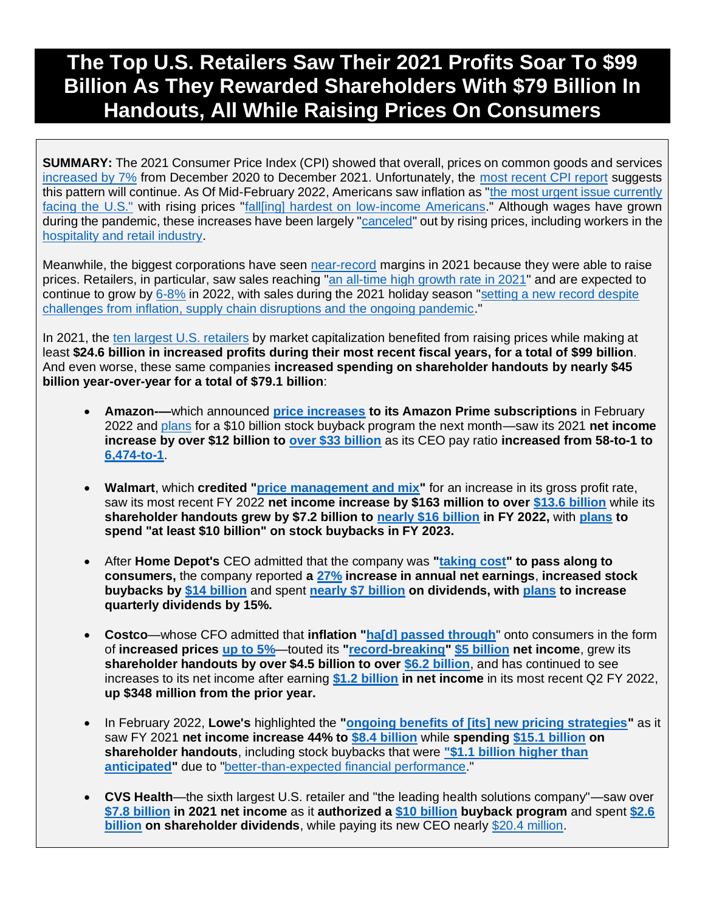# **The Top U.S. Retailers Saw Their 2021 Profits Soar To \$99 Billion As They Rewarded Shareholders With \$79 Billion In Handouts, All While Raising Prices On Consumers**

**SUMMARY:** The 2021 Consumer Price Index (CPI) showed that overall, prices on common goods and services [increased by 7%](https://www.bls.gov/opub/ted/2022/consumer-price-index-2021-in-review.htm) from December 2020 to December 2021. Unfortunately, the [most recent CPI report](https://www.bls.gov/news.release/pdf/cpi.pdf) suggests this pattern will continue. As Of Mid-February 2022, Americans saw inflation as ["th](https://thehill.com/policy/finance/594598-inflation-tops-list-of-most-urgent-issues-facing-us-poll/)e [most urgent issue currently](https://thehill.com/policy/finance/594598-inflation-tops-list-of-most-urgent-issues-facing-us-poll/)  [facing the U.S."](https://thehill.com/policy/finance/594598-inflation-tops-list-of-most-urgent-issues-facing-us-poll/) with rising prices ["fall\[ing\] hardest on low-income Americans.](https://www.washingtonpost.com/business/2022/02/13/low-income-high-inflation-inequality/)" Although wages have grown during the pandemic, these increases have been largely ["canceled"](https://www.vox.com/recode/22933594/pay-raise-price-inflation-employers-great-resignation) out by rising prices, including workers in the [hospitality and retail industry.](https://www.nbcnews.com/business/consumer/-cant-even-afford-buy-cart-groceries-spiraling-inflation-leaves-grocer-rcna6436)

Meanwhile, the biggest corporations have seen [near-record](https://www.cnbc.com/2022/01/13/profits-for-sp-500-companies-rose-22percent-in-the-fourth-quarter-and-nearly-50percent-in-2021-estimates-show.html) margins in 2021 because they were able to raise prices. Retailers, in particular, saw sales reaching ["an all-time high growth rate in 2021"](https://www.digitalcommerce360.com/article/us-ecommerce-sales/#:~:text=the%20same%20rate.-,US%20total%20retail%20sales%20reach%20%244.55%20trillion%20in%202021,analysis%20of%20Commerce%20Department%20data.) and are expected to continue to grow by [6-8%](https://nrf.com/media-center/press-releases/nrf-forecasts-annual-retail-sales-grow-between-6-percent-and-8-percent) in 2022, with sales during the 2021 holiday season ["setting a new record despite](https://nrf.com/media-center/press-releases/nrf-says-2021-holiday-sales-grew-141-percent-record-8867-billion)  [challenges from inflation, supply chain disruptions and the ongoing pandemic.](https://nrf.com/media-center/press-releases/nrf-says-2021-holiday-sales-grew-141-percent-record-8867-billion)"

In 2021, the [ten largest U.S. retailers](https://companiesmarketcap.com/retail/largest-retail-companies-by-market-cap/) by market capitalization benefited from raising prices while making at least **\$24.6 billion in increased profits during their most recent fiscal years, for a total of \$99 billion**. And even worse, these same companies **increased spending on shareholder handouts by nearly \$45 billion year-over-year for a total of \$79.1 billion**:

- **Amazon-—**which announced **[price increases](https://www.cnn.com/2022/02/03/tech/amazon-earnings-q4-2021/index.html) to its Amazon Prime subscriptions** in February 2022 and [plans](https://www.bloomberg.com/news/articles/2022-03-09/amazon-will-split-stock-20-1-approves-10-billion-buyback?sref=F7j0rXiB) for a \$10 billion stock buyback program the next month—saw its 2021 **net income increase by over \$12 billion to [over \\$33 billion](https://s2.q4cdn.com/299287126/files/doc_financials/2021/q4/business_and_financial_update.pdf)** as its CEO pay ratio **increased from 58-to-1 to [6,474-to-1](https://www.sec.gov/Archives/edgar/data/1018724/000110465922041196/tm223357-2_pre14a.htm#tSCT)**.
- **Walmart**, which **credited ["price management and mix"](https://s2.q4cdn.com/056532643/files/doc_financials/2022/q4/Earnings-Presentation-(FY22-Q4)_FINAL.pdf)** for an increase in its gross profit rate, saw its most recent FY 2022 **net income increase by \$163 million to over [\\$13.6 billion](https://corporate.walmart.com/media-library/document/q4-fy22-earnings-release/_proxyDocument?id=0000017f-0521-deb8-ab7f-372d1d5a0000)** while its **shareholder handouts grew by \$7.2 billion to [nearly \\$16 billion](https://corporate.walmart.com/media-library/document/q4-fy22-earnings-release/_proxyDocument?id=0000017f-0521-deb8-ab7f-372d1d5a0000) in FY 2022,** with **[plans](https://corporate.walmart.com/media-library/document/q4-fy22-earnings-release/_proxyDocument?id=0000017f-0521-deb8-ab7f-372d1d5a0000) to spend "at least \$10 billion" on stock buybacks in FY 2023.**
- After **Home Depot's** CEO admitted that the company was **["taking cost"](https://seekingalpha.com/article/4489122-home-depot-inc-s-hd-ceo-craig-menear-on-q4-2021-results-earnings-call-transcript) to pass along to consumers,** the company reported **a [27%](https://ir.homedepot.com/news-releases/2022/02-22-2022-110220476) increase in annual net earnings**, **increased stock buybacks by [\\$14 billion](https://ir.homedepot.com/news-releases/2022/02-22-2022-110220476)** and spent **[nearly \\$7 billion](https://ir.homedepot.com/news-releases/2022/02-22-2022-110220476) on dividends, with [plans](https://ir.homedepot.com/news-releases/2022/02-22-2022-110220476) to increase quarterly dividends by 15%.**
- **Costco***—*whose CFO admitted that **inflation ["ha\[d\] passed through](https://www.cnbc.com/2021/05/28/costco-is-seeing-inflation-abound-impacting-a-slew-of-consumer-products.html)**" onto consumers in the form of **increased prices [up to 5%](https://www.forbes.com/sites/shelleykohan/2021/12/10/costco-prices-up-over-45-yet-demand-remains-strong/?sh=5b0dd1a676bd)**—touted its **["record-breaking"](https://www.yahoo.com/video/costco-record-breaking-look-back-230015759.html) [\\$5 billion](https://investor.costco.com/news-releases/news-release-details/costco-wholesale-corporation-reports-fourth-quarter-and-13) net income**, grew its **shareholder handouts by over \$4.5 billion to over [\\$6.2 billion](https://investor.costco.com/news-releases/news-release-details/costco-wholesale-corporation-reports-fourth-quarter-and-13)**, and has continued to see increases to its net income after earning **[\\$1.2 billion](https://investor.costco.com/news-releases/news-release-details/costco-wholesale-corporation-reports-second-quarter-and-year-22) in net income** in its most recent Q2 FY 2022, **up \$348 million from the prior year.**
- In February 2022, **Lowe's** highlighted the **["ongoing benefits of \[its\] new pricing strategies"](https://seekingalpha.com/article/4489520-lowes-companies-inc-s-low-ceo-marvin-ellison-on-q4-2021-results-earnings-call-transcript)** as it saw FY 2021 **net income increase 44% to [\\$8.4 billion](https://corporate.lowes.com/sites/lowes-corp/files/2022-02/Lowes-Q4-2021-Earnings-Press-Release.pdf)** while **spending [\\$15.1 billion](https://corporate.lowes.com/sites/lowes-corp/files/2022-02/Lowes-Q4-2021-Earnings-Press-Release.pdf) on shareholder handouts**, including stock buybacks that were **["\\$1.1 billion higher than](https://corporate.lowes.com/sites/lowes-corp/files/2022-02/Lowes-Q4-2021-Earnings-Press-Release.pdf)  [anticipated"](https://corporate.lowes.com/sites/lowes-corp/files/2022-02/Lowes-Q4-2021-Earnings-Press-Release.pdf)** due to ["better-than-expected financial performance.](https://corporate.lowes.com/sites/lowes-corp/files/2022-02/Lowes-Q4-2021-Earnings-Press-Release.pdf)"
- **CVS Health**—the sixth largest U.S. retailer and "the leading health solutions company"—saw over **[\\$7.8 billion](https://s2.q4cdn.com/447711729/files/doc_financials/2021/q4/Q4-2021-Earnings-Release.pdf) in 2021 net income** as it **authorized a [\\$10 billion](https://www.marketwatch.com/story/cvs-sets-10-billion-stock-buyback-program-boosts-dividend-for-first-time-in-4-years-2021-12-09) buyback program** and spent **[\\$2.6](https://s2.q4cdn.com/447711729/files/doc_financials/2021/q4/Q4-2021-Earnings-Release.pdf)  [billion](https://s2.q4cdn.com/447711729/files/doc_financials/2021/q4/Q4-2021-Earnings-Release.pdf) on shareholder dividends**, while paying its new CEO nearly [\\$20.4 million.](https://www.fiercehealthcare.com/payers/heres-how-much-cvs-ceo-karen-lynch-made-last-year)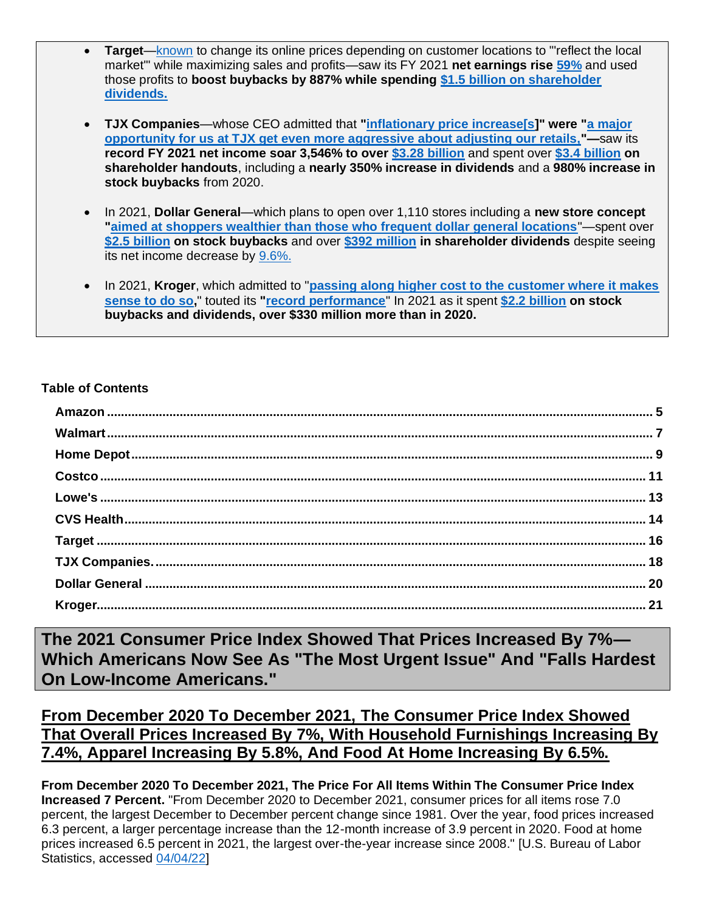- **Target**[—known](https://www.huffpost.com/entry/target-tracking-location-changing-prices_l_603fd12bc5b6ff75ac410a38) to change its online prices depending on customer locations to "'reflect the local market'" while maximizing sales and profits—saw its FY 2021 **net earnings rise [59%](https://investors.target.com/news-releases/news-release-details/target-corporation-reports-fourth-quarter-and-full-year-2021)** and used those profits to **boost buybacks by 887% while spending [\\$1.5 billion on shareholder](https://investors.target.com/news-releases/news-release-details/target-corporation-reports-fourth-quarter-and-full-year-2021)  [dividends.](https://investors.target.com/news-releases/news-release-details/target-corporation-reports-fourth-quarter-and-full-year-2021)**
- **TJX Companies**—whose CEO admitted that **["inflationary price increase\[s\]](https://seekingalpha.com/article/4489562-tjx-companies-inc-tjx-ceo-ernie-herrman-on-q4-2022-results-earnings-call-transcript)" were ["a major](https://seekingalpha.com/article/4489562-tjx-companies-inc-tjx-ceo-ernie-herrman-on-q4-2022-results-earnings-call-transcript)  [opportunity for us at TJX get even more aggressive about adjusting our retails,"](https://seekingalpha.com/article/4489562-tjx-companies-inc-tjx-ceo-ernie-herrman-on-q4-2022-results-earnings-call-transcript)—**saw its **record FY 2021 net income soar 3,546% to over [\\$3.28 billion](https://investor.tjx.com/news-releases/news-release-details/tjx-companies-inc-reports-very-strong-us-open-only-comp-store)** and spent over **[\\$3.4 billion](https://investor.tjx.com/news-releases/news-release-details/tjx-companies-inc-reports-very-strong-us-open-only-comp-store) on shareholder handouts**, including a **nearly 350% increase in dividends** and a **980% increase in stock buybacks** from 2020.
- In 2021, **Dollar General**—which plans to open over 1,110 stores including a **new store concept ["aimed at shoppers wealthier than those who frequent dollar general locations](https://www.pymnts.com/news/retail/2021/dollar-general-says-no-plans-to-raise-core-product-prices-unlike-dollar-tree-rival/#:~:text=Dollar%20General%20Says%20No%20Plans,Prices%2C%20Unlike%20Dollar%20Tree%20Rival&text=Dollar%20General%20is%20planning%20nearly,internationally%20for%20the%20first%20time.)**"—spent over **[\\$2.5 billion](https://investor.dollargeneral.com/websites/dollargeneral/English/2120/us-press-release.html?airportNewsID=833ee4cb-9391-4541-aca2-5764088d47ab) on stock buybacks** and over **[\\$392 million](https://investor.dollargeneral.com/websites/dollargeneral/English/2120/us-press-release.html?airportNewsID=833ee4cb-9391-4541-aca2-5764088d47ab) in shareholder dividends** despite seeing its net income decrease by [9.6%.](https://investor.dollargeneral.com/websites/dollargeneral/English/2120/us-press-release.html?airportNewsID=833ee4cb-9391-4541-aca2-5764088d47ab)
- In 2021, **Kroger**, which admitted to "**[passing along higher cost to the customer where it makes](https://www.bizjournals.com/phoenix/bizwomen/news/latest-news/2021/09/kroger-to-raise-prices-cfo-says.html?page=all)  [sense to do so,](https://www.bizjournals.com/phoenix/bizwomen/news/latest-news/2021/09/kroger-to-raise-prices-cfo-says.html?page=all)**" touted its **["record performance](https://ir.kroger.com/CorporateProfile/press-releases/press-release/2022/Kroger-Reports-Fourth-Quarter-and-Full-Year-2021-Results/default.aspx)**" In 2021 as it spent **[\\$2.2 billion](https://ir.kroger.com/CorporateProfile/press-releases/press-release/2022/Kroger-Reports-Fourth-Quarter-and-Full-Year-2021-Results/default.aspx) on stock buybacks and dividends, over \$330 million more than in 2020.**

#### **Table of Contents**

**The 2021 Consumer Price Index Showed That Prices Increased By 7%— Which Americans Now See As "The Most Urgent Issue" And "Falls Hardest On Low-Income Americans."** 

**From December 2020 To December 2021, The Consumer Price Index Showed That Overall Prices Increased By 7%, With Household Furnishings Increasing By 7.4%, Apparel Increasing By 5.8%, And Food At Home Increasing By 6.5%.** 

**From December 2020 To December 2021, The Price For All Items Within The Consumer Price Index Increased 7 Percent.** "From December 2020 to December 2021, consumer prices for all items rose 7.0 percent, the largest December to December percent change since 1981. Over the year, food prices increased 6.3 percent, a larger percentage increase than the 12-month increase of 3.9 percent in 2020. Food at home prices increased 6.5 percent in 2021, the largest over-the-year increase since 2008." [U.S. Bureau of Labor Statistics, accessed [04/04/22\]](https://www.bls.gov/opub/ted/2022/consumer-price-index-2021-in-review.htm)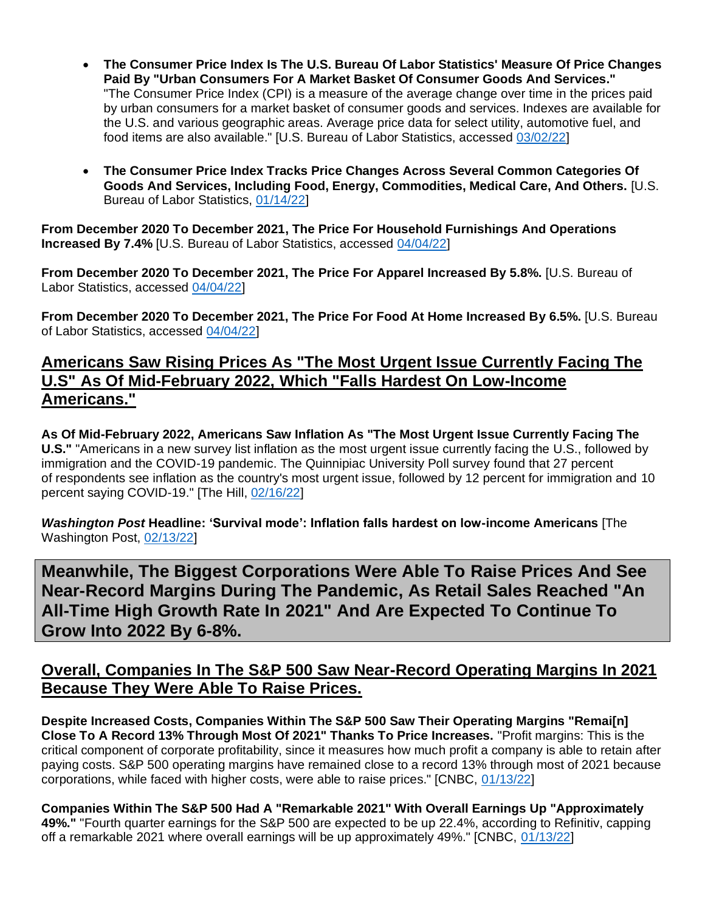- **The Consumer Price Index Is The U.S. Bureau Of Labor Statistics' Measure Of Price Changes Paid By "Urban Consumers For A Market Basket Of Consumer Goods And Services."**  "The Consumer Price Index (CPI) is a measure of the average change over time in the prices paid by urban consumers for a market basket of consumer goods and services. Indexes are available for the U.S. and various geographic areas. Average price data for select utility, automotive fuel, and food items are also available." [U.S. Bureau of Labor Statistics, accessed [03/02/22\]](https://www.bls.gov/cpi/)
- **The Consumer Price Index Tracks Price Changes Across Several Common Categories Of Goods And Services, Including Food, Energy, Commodities, Medical Care, And Others.** [U.S. Bureau of Labor Statistics, [01/14/22\]](https://www.bls.gov/opub/ted/2022/consumer-price-index-2021-in-review.htm)

**From December 2020 To December 2021, The Price For Household Furnishings And Operations Increased By 7.4%** [U.S. Bureau of Labor Statistics, accessed [04/04/22\]](https://www.bls.gov/opub/ted/2022/consumer-price-index-2021-in-review.htm)

**From December 2020 To December 2021, The Price For Apparel Increased By 5.8%.** [U.S. Bureau of Labor Statistics, accessed [04/04/22\]](https://www.bls.gov/opub/ted/2022/consumer-price-index-2021-in-review.htm)

**From December 2020 To December 2021, The Price For Food At Home Increased By 6.5%.** [U.S. Bureau of Labor Statistics, accessed [04/04/22\]](https://www.bls.gov/opub/ted/2022/consumer-price-index-2021-in-review.htm)

# **Americans Saw Rising Prices As "The Most Urgent Issue Currently Facing The U.S" As Of Mid-February 2022, Which "Falls Hardest On Low-Income Americans."**

**As Of Mid-February 2022, Americans Saw Inflation As "The Most Urgent Issue Currently Facing The U.S."** "Americans in a new survey list inflation as the most urgent issue currently facing the U.S., followed by immigration and the COVID-19 pandemic. The Quinnipiac University Poll survey found that 27 percent of respondents see inflation as the country's most urgent issue, followed by 12 percent for immigration and 10 percent saying COVID-19." [The Hill, [02/16/22\]](https://thehill.com/policy/finance/594598-inflation-tops-list-of-most-urgent-issues-facing-us-poll)

*Washington Post* **Headline: 'Survival mode': Inflation falls hardest on low-income Americans** [The Washington Post, [02/13/22\]](https://www.washingtonpost.com/business/2022/02/13/low-income-high-inflation-inequality/)

**Meanwhile, The Biggest Corporations Were Able To Raise Prices And See Near-Record Margins During The Pandemic, As Retail Sales Reached "An All-Time High Growth Rate In 2021" And Are Expected To Continue To Grow Into 2022 By 6-8%.**

# **Overall, Companies In The S&P 500 Saw Near-Record Operating Margins In 2021 Because They Were Able To Raise Prices.**

**Despite Increased Costs, Companies Within The S&P 500 Saw Their Operating Margins "Remai[n] Close To A Record 13% Through Most Of 2021" Thanks To Price Increases.** "Profit margins: This is the critical component of corporate profitability, since it measures how much profit a company is able to retain after paying costs. S&P 500 operating margins have remained close to a record 13% through most of 2021 because corporations, while faced with higher costs, were able to raise prices." [CNBC, [01/13/22\]](https://www.cnbc.com/2022/01/13/profits-for-sp-500-companies-rose-22percent-in-the-fourth-quarter-and-nearly-50percent-in-2021-estimates-show.html)

**Companies Within The S&P 500 Had A "Remarkable 2021" With Overall Earnings Up "Approximately 49%."** "Fourth quarter earnings for the S&P 500 are expected to be up 22.4%, according to Refinitiv, capping off a remarkable 2021 where overall earnings will be up approximately 49%." [CNBC, [01/13/22\]](https://www.cnbc.com/2022/01/13/profits-for-sp-500-companies-rose-22percent-in-the-fourth-quarter-and-nearly-50percent-in-2021-estimates-show.html)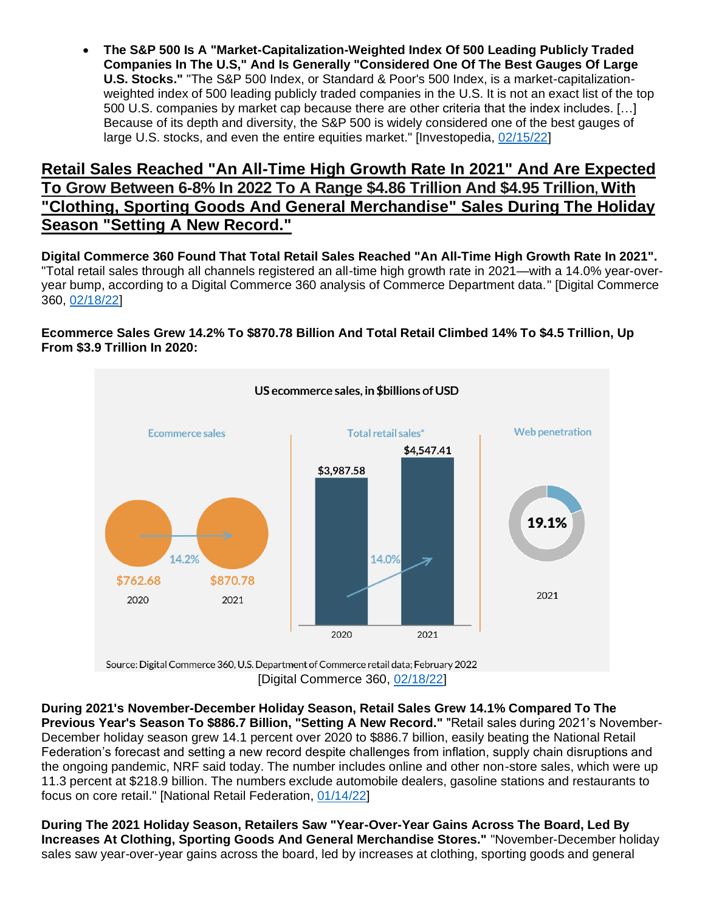• **The S&P 500 Is A "Market-Capitalization-Weighted Index Of 500 Leading Publicly Traded Companies In The U.S," And Is Generally "Considered One Of The Best Gauges Of Large U.S. Stocks."** "The S&P 500 Index, or Standard & Poor's 500 Index, is a market-capitalizationweighted index of 500 leading publicly traded companies in the U.S. It is not an exact list of the top 500 U.S. companies by market cap because there are other criteria that the index includes. […] Because of its depth and diversity, the S&P 500 is widely considered one of the best gauges of large U.S. stocks, and even the entire equities market." [Investopedia, [02/15/22\]](https://www.investopedia.com/terms/s/sp500.asp)

### **Retail Sales Reached "An All-Time High Growth Rate In 2021" And Are Expected To Grow Between 6-8% In 2022 To A Range \$4.86 Trillion And \$4.95 Trillion, With "Clothing, Sporting Goods And General Merchandise" Sales During The Holiday Season "Setting A New Record."**

**Digital Commerce 360 Found That Total Retail Sales Reached "An All-Time High Growth Rate In 2021".** "Total retail sales through all channels registered an all-time high growth rate in 2021—with a 14.0% year-overyear bump, according to a Digital Commerce 360 analysis of Commerce Department data." [Digital Commerce 360, [02/18/22\]](https://www.digitalcommerce360.com/article/us-ecommerce-sales/#:~:text=the%20same%20rate.-,US%20total%20retail%20sales%20reach%20%244.55%20trillion%20in%202021,analysis%20of%20Commerce%20Department%20data.)

#### **Ecommerce Sales Grew 14.2% To \$870.78 Billion And Total Retail Climbed 14% To \$4.5 Trillion, Up From \$3.9 Trillion In 2020:**



[Digital Commerce 360, [02/18/22\]](https://www.digitalcommerce360.com/article/us-ecommerce-sales/#:~:text=the%20same%20rate.-,US%20total%20retail%20sales%20reach%20%244.55%20trillion%20in%202021,analysis%20of%20Commerce%20Department%20data.)

**During 2021's November-December Holiday Season, Retail Sales Grew 14.1% Compared To The Previous Year's Season To \$886.7 Billion, "Setting A New Record."** "Retail sales during 2021's November-December holiday season grew 14.1 percent over 2020 to \$886.7 billion, easily beating the National Retail Federation's forecast and setting a new record despite challenges from inflation, supply chain disruptions and the ongoing pandemic, NRF said today. The number includes online and other non-store sales, which were up 11.3 percent at \$218.9 billion. The numbers exclude automobile dealers, gasoline stations and restaurants to focus on core retail." [National Retail Federation, [01/14/22\]](https://nrf.com/media-center/press-releases/nrf-says-2021-holiday-sales-grew-141-percent-record-8867-billion)

**During The 2021 Holiday Season, Retailers Saw "Year-Over-Year Gains Across The Board, Led By Increases At Clothing, Sporting Goods And General Merchandise Stores."** "November-December holiday sales saw year-over-year gains across the board, led by increases at clothing, sporting goods and general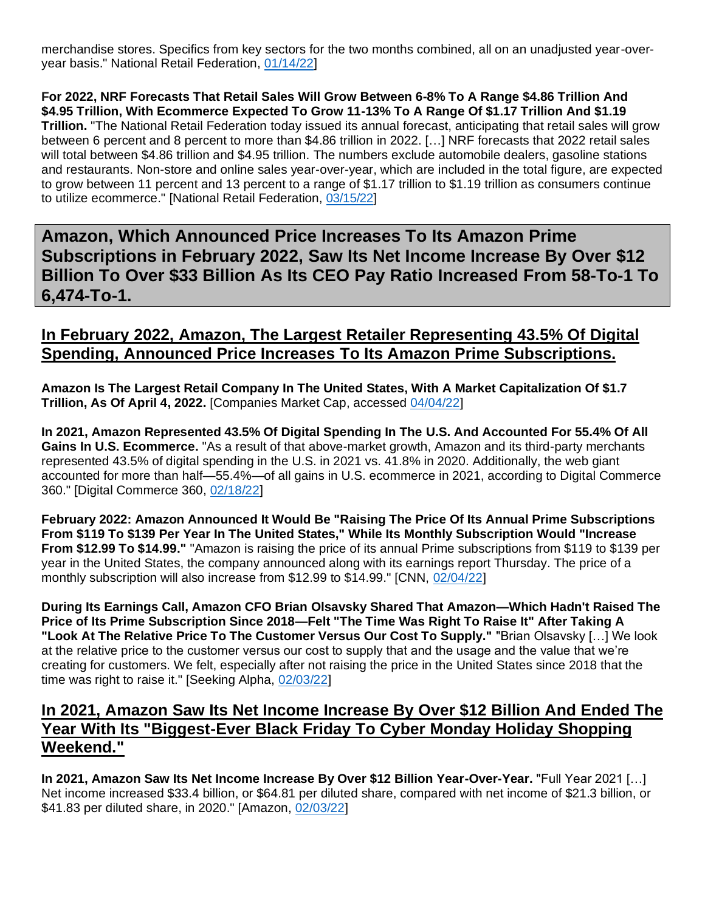merchandise stores. Specifics from key sectors for the two months combined, all on an unadjusted year-overyear basis." National Retail Federation, [01/14/22\]](https://nrf.com/media-center/press-releases/nrf-says-2021-holiday-sales-grew-141-percent-record-8867-billion)

**For 2022, NRF Forecasts That Retail Sales Will Grow Between 6-8% To A Range \$4.86 Trillion And \$4.95 Trillion, With Ecommerce Expected To Grow 11-13% To A Range Of \$1.17 Trillion And \$1.19 Trillion.** "The National Retail Federation today issued its annual forecast, anticipating that retail sales will grow between 6 percent and 8 percent to more than \$4.86 trillion in 2022. […] NRF forecasts that 2022 retail sales will total between \$4.86 trillion and \$4.95 trillion. The numbers exclude automobile dealers, gasoline stations and restaurants. Non-store and online sales year-over-year, which are included in the total figure, are expected to grow between 11 percent and 13 percent to a range of \$1.17 trillion to \$1.19 trillion as consumers continue to utilize ecommerce." [National Retail Federation, [03/15/22\]](https://nrf.com/media-center/press-releases/nrf-forecasts-annual-retail-sales-grow-between-6-percent-and-8-percent)

<span id="page-4-0"></span>**Amazon, Which Announced Price Increases To Its Amazon Prime Subscriptions in February 2022, Saw Its Net Income Increase By Over \$12 Billion To Over \$33 Billion As Its CEO Pay Ratio Increased From 58-To-1 To 6,474-To-1.**

# **In February 2022, Amazon, The Largest Retailer Representing 43.5% Of Digital Spending, Announced Price Increases To Its Amazon Prime Subscriptions.**

**Amazon Is The Largest Retail Company In The United States, With A Market Capitalization Of \$1.7 Trillion, As Of April 4, 2022.** [Companies Market Cap, accessed [04/04/22\]](https://companiesmarketcap.com/retail/largest-retail-companies-by-market-cap/)

**In 2021, Amazon Represented 43.5% Of Digital Spending In The U.S. And Accounted For 55.4% Of All Gains In U.S. Ecommerce.** "As a result of that above-market growth, Amazon and its third-party merchants represented 43.5% of digital spending in the U.S. in 2021 vs. 41.8% in 2020. Additionally, the web giant accounted for more than half—55.4%—of all gains in U.S. ecommerce in 2021, according to Digital Commerce 360." [Digital Commerce 360, [02/18/22\]](https://www.digitalcommerce360.com/article/us-ecommerce-sales/#:~:text=the%20same%20rate.-,US%20total%20retail%20sales%20reach%20%244.55%20trillion%20in%202021,analysis%20of%20Commerce%20Department%20data.)

**February 2022: Amazon Announced It Would Be "Raising The Price Of Its Annual Prime Subscriptions From \$119 To \$139 Per Year In The United States," While Its Monthly Subscription Would "Increase From \$12.99 To \$14.99."** "Amazon is raising the price of its annual Prime subscriptions from \$119 to \$139 per year in the United States, the company announced along with its earnings report Thursday. The price of a monthly subscription will also increase from \$12.99 to \$14.99." [CNN, [02/04/22\]](https://www.cnn.com/2022/02/03/tech/amazon-earnings-q4-2021/index.html)

**During Its Earnings Call, Amazon CFO Brian Olsavsky Shared That Amazon—Which Hadn't Raised The Price of Its Prime Subscription Since 2018—Felt "The Time Was Right To Raise It" After Taking A "Look At The Relative Price To The Customer Versus Our Cost To Supply."** "Brian Olsavsky […] We look at the relative price to the customer versus our cost to supply that and the usage and the value that we're creating for customers. We felt, especially after not raising the price in the United States since 2018 that the time was right to raise it." [Seeking Alpha, [02/03/22\]](https://seekingalpha.com/article/4484212-amazon-com-inc-amzn-management-on-q4-2021-results-earnings-call-transcript)

### **In 2021, Amazon Saw Its Net Income Increase By Over \$12 Billion And Ended The Year With Its "Biggest-Ever Black Friday To Cyber Monday Holiday Shopping Weekend."**

**In 2021, Amazon Saw Its Net Income Increase By Over \$12 Billion Year-Over-Year.** "Full Year 2021 […] Net income increased \$33.4 billion, or \$64.81 per diluted share, compared with net income of \$21.3 billion, or \$41.83 per diluted share, in 2020." [Amazon, [02/03/22\]](https://s2.q4cdn.com/299287126/files/doc_financials/2021/q4/business_and_financial_update.pdf)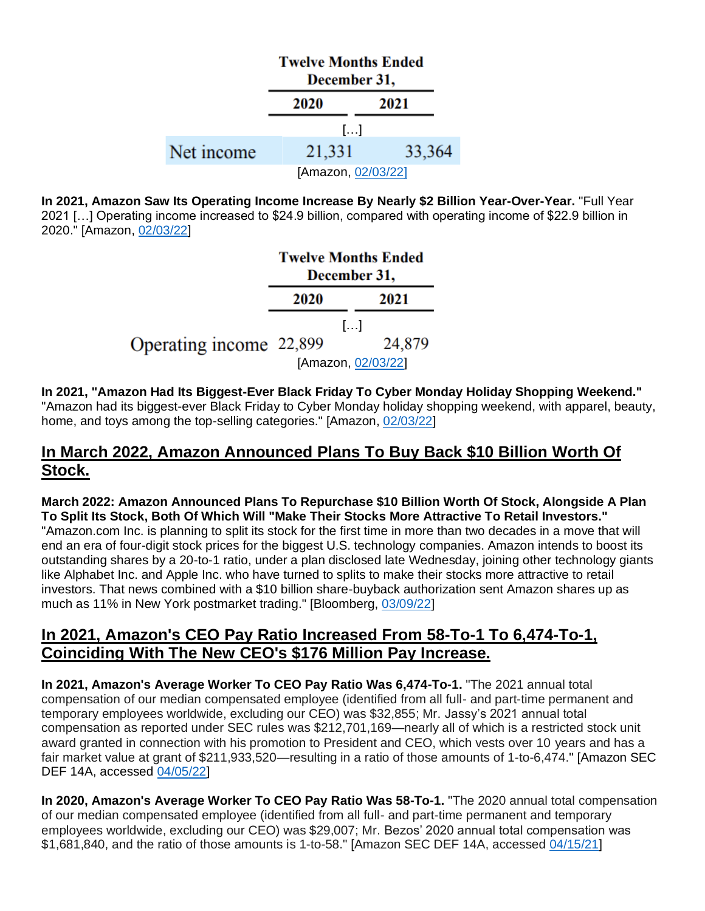|            | <b>Twelve Months Ended</b><br>December 31, |        |  |  |
|------------|--------------------------------------------|--------|--|--|
|            | 2020                                       | 2021   |  |  |
|            | $\left[\ldots\right]$                      |        |  |  |
| Net income | 21,331                                     | 33,364 |  |  |
|            | [Amazon, 02/03/22]                         |        |  |  |

**In 2021, Amazon Saw Its Operating Income Increase By Nearly \$2 Billion Year-Over-Year.** "Full Year 2021 […] Operating income increased to \$24.9 billion, compared with operating income of \$22.9 billion in 2020." [Amazon, [02/03/22\]](https://s2.q4cdn.com/299287126/files/doc_financials/2021/q4/business_and_financial_update.pdf)

|                         | <b>Twelve Months Ended</b><br>December 31, |                       |  |
|-------------------------|--------------------------------------------|-----------------------|--|
|                         | 2020                                       | 2021                  |  |
|                         |                                            | $\left[\ldots\right]$ |  |
| Operating income 22,899 |                                            | 24,879                |  |
|                         |                                            | [Amazon, 02/03/22]    |  |

**In 2021, "Amazon Had Its Biggest-Ever Black Friday To Cyber Monday Holiday Shopping Weekend."** "Amazon had its biggest-ever Black Friday to Cyber Monday holiday shopping weekend, with apparel, beauty, home, and toys among the top-selling categories." [Amazon, [02/03/22\]](https://s2.q4cdn.com/299287126/files/doc_financials/2021/q4/business_and_financial_update.pdf)

# **In March 2022, Amazon Announced Plans To Buy Back \$10 Billion Worth Of Stock.**

**March 2022: Amazon Announced Plans To Repurchase \$10 Billion Worth Of Stock, Alongside A Plan To Split Its Stock, Both Of Which Will "Make Their Stocks More Attractive To Retail Investors."** "[Amazon.com Inc.](https://www.bloomberg.com/quote/AMZN:US) is planning to split its stock for the first time in more than two decades in a move that will end an era of four-digit stock prices for the biggest U.S. technology companies. Amazon intends to boost its outstanding shares by a 20-to-1 ratio, under a plan disclosed late Wednesday, joining other technology giants like Alphabet Inc. and Apple Inc. who have turned to splits to make their stocks more attractive to retail investors. That news combined with a \$10 billion share-buyback authorization sent Amazon shares up as much as 11% in New York postmarket trading." [Bloomberg, [03/09/22\]](https://www.bloomberg.com/news/articles/2022-03-09/amazon-will-split-stock-20-1-approves-10-billion-buyback?sref=F7j0rXiB)

# **In 2021, Amazon's CEO Pay Ratio Increased From 58-To-1 To 6,474-To-1, Coinciding With The New CEO's \$176 Million Pay Increase.**

**In 2021, Amazon's Average Worker To CEO Pay Ratio Was 6,474-To-1.** "The 2021 annual total compensation of our median compensated employee (identified from all full- and part-time permanent and temporary employees worldwide, excluding our CEO) was \$32,855; Mr. Jassy's 2021 annual total compensation as reported under SEC rules was \$212,701,169—nearly all of which is a restricted stock unit award granted in connection with his promotion to President and CEO, which vests over 10 years and has a fair market value at grant of \$211,933,520—resulting in a ratio of those amounts of 1-to-6,474." [Amazon SEC DEF 14A, accessed [04/05/22\]](https://www.sec.gov/Archives/edgar/data/1018724/000110465922041196/tm223357-2_pre14a.htm)

**In 2020, Amazon's Average Worker To CEO Pay Ratio Was 58-To-1.** "The 2020 annual total compensation of our median compensated employee (identified from all full- and part-time permanent and temporary employees worldwide, excluding our CEO) was \$29,007; Mr. Bezos' 2020 annual total compensation was \$1,681,840, and the ratio of those amounts is 1-to-58." [Amazon SEC DEF 14A, accessed [04/15/21\]](https://www.sec.gov/Archives/edgar/data/1018724/000110465921050333/tm2035374-1_def14a.htm#tPRD)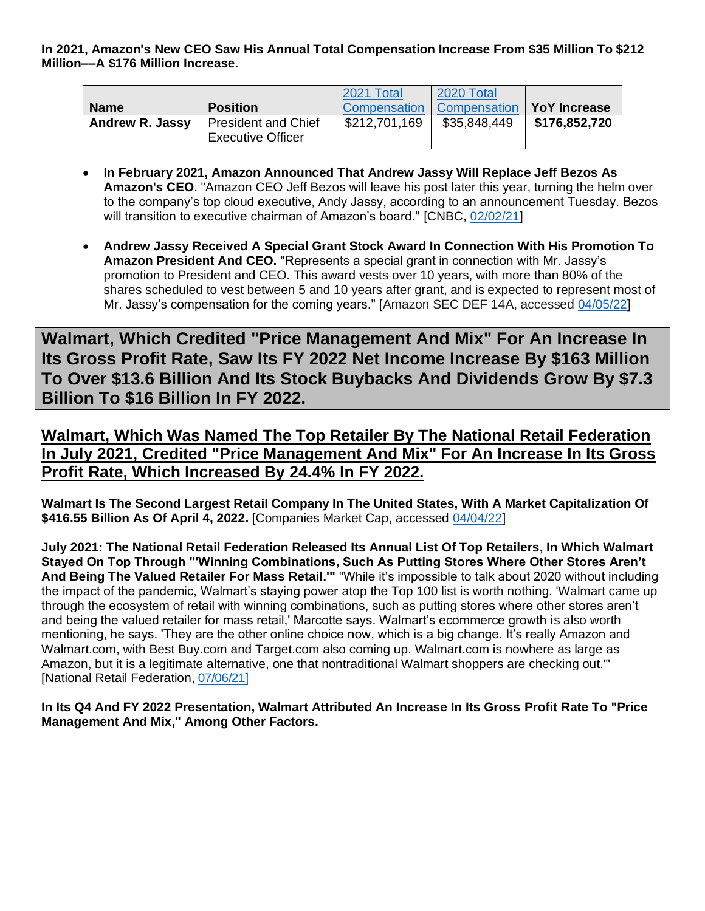| <b>Name</b>            | <b>Position</b>                                 | 2021 Total    | 2020 Total<br>Compensation   Compensation   YoY Increase |               |
|------------------------|-------------------------------------------------|---------------|----------------------------------------------------------|---------------|
| <b>Andrew R. Jassy</b> | President and Chief<br><b>Executive Officer</b> | \$212,701,169 | \$35,848,449                                             | \$176,852,720 |

- **In February 2021, Amazon Announced That Andrew Jassy Will Replace Jeff Bezos As Amazon's CEO**. "Amazon CEO Jeff Bezos will leave his post later this year, turning the helm over to the company's top cloud executive, Andy Jassy, according to an announcement Tuesday. Bezos will transition to executive chairman of Amazon's board." [CNBC, [02/02/21\]](https://www.cnbc.com/2021/02/02/jeff-bezos-to-step-down-as-amazon-ceo-andy-jassy-to-take-over-in-q3.html)
- **Andrew Jassy Received A Special Grant Stock Award In Connection With His Promotion To Amazon President And CEO.** "Represents a special grant in connection with Mr. Jassy's promotion to President and CEO. This award vests over 10 years, with more than 80% of the shares scheduled to vest between 5 and 10 years after grant, and is expected to represent most of Mr. Jassy's compensation for the coming years." [Amazon SEC DEF 14A, accessed [04/05/22\]](https://www.sec.gov/Archives/edgar/data/1018724/000110465921050333/tm2035374-1_def14a.htm#tPRD)

<span id="page-6-0"></span>**Walmart, Which Credited "Price Management And Mix" For An Increase In Its Gross Profit Rate, Saw Its FY 2022 Net Income Increase By \$163 Million To Over \$13.6 Billion And Its Stock Buybacks And Dividends Grow By \$7.3 Billion To \$16 Billion In FY 2022.**

**Walmart, Which Was Named The Top Retailer By The National Retail Federation In July 2021, Credited "Price Management And Mix" For An Increase In Its Gross Profit Rate, Which Increased By 24.4% In FY 2022.**

**Walmart Is The Second Largest Retail Company In The United States, With A Market Capitalization Of \$416.55 Billion As Of April 4, 2022.** [Companies Market Cap, accessed [04/04/22\]](https://companiesmarketcap.com/retail/largest-retail-companies-by-market-cap/)

**July 2021: The National Retail Federation Released Its Annual List Of Top Retailers, In Which Walmart Stayed On Top Through "'Winning Combinations, Such As Putting Stores Where Other Stores Aren't And Being The Valued Retailer For Mass Retail.'"** "While it's impossible to talk about 2020 without including the impact of the pandemic, Walmart's staying power atop the Top 100 list is worth nothing. 'Walmart came up through the ecosystem of retail with winning combinations, such as putting stores where other stores aren't and being the valued retailer for mass retail,' Marcotte says. Walmart's ecommerce growth is also worth mentioning, he says. 'They are the other online choice now, which is a big change. It's really Amazon and Walmart.com, with Best Buy.com and Target.com also coming up. Walmart.com is nowhere as large as Amazon, but it is a legitimate alternative, one that nontraditional Walmart shoppers are checking out.'" [National Retail Federation, [07/06/21\]](https://nrf.com/blog/2021-top-100-retailers)

**In Its Q4 And FY 2022 Presentation, Walmart Attributed An Increase In Its Gross Profit Rate To "Price Management And Mix," Among Other Factors.**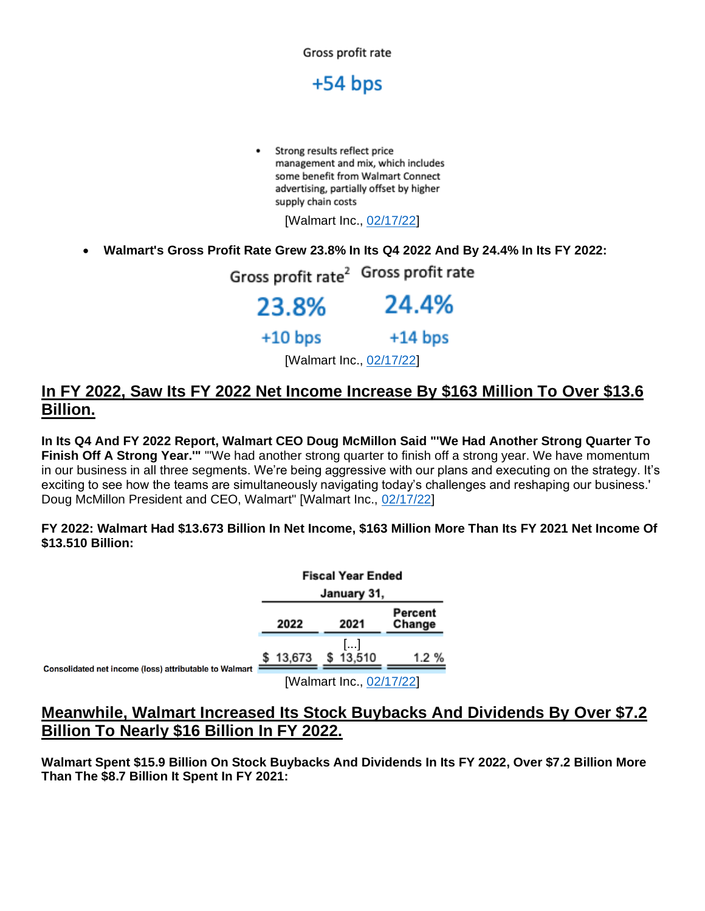

Strong results reflect price management and mix, which includes some benefit from Walmart Connect advertising, partially offset by higher supply chain costs

[Walmart Inc., [02/17/22\]](https://s2.q4cdn.com/056532643/files/doc_financials/2022/q4/Earnings-Presentation-(FY22-Q4)_FINAL.pdf)

• **Walmart's Gross Profit Rate Grew 23.8% In Its Q4 2022 And By 24.4% In Its FY 2022:**

Gross profit rate<sup>2</sup> Gross profit rate 23.8% 24.4%  $+10$  bps  $+14$  bps [Walmart Inc., [02/17/22\]](https://s2.q4cdn.com/056532643/files/doc_financials/2022/q4/Earnings-Presentation-(FY22-Q4)_FINAL.pdf)

### **In FY 2022, Saw Its FY 2022 Net Income Increase By \$163 Million To Over \$13.6 Billion.**

**In Its Q4 And FY 2022 Report, Walmart CEO Doug McMillon Said "'We Had Another Strong Quarter To Finish Off A Strong Year.'"** "We had another strong quarter to finish off a strong year. We have momentum in our business in all three segments. We're being aggressive with our plans and executing on the strategy. It's exciting to see how the teams are simultaneously navigating today's challenges and reshaping our business.' Doug McMillon President and CEO, Walmart" [Walmart Inc., [02/17/22\]](https://corporate.walmart.com/media-library/document/q4-fy22-earnings-release/_proxyDocument?id=0000017f-0521-deb8-ab7f-372d1d5a0000)

#### **FY 2022: Walmart Had \$13.673 Billion In Net Income, \$163 Million More Than Its FY 2021 Net Income Of \$13.510 Billion:**

|                                                        | <b>Fiscal Year Ended</b> |        |  |                          |                   |
|--------------------------------------------------------|--------------------------|--------|--|--------------------------|-------------------|
|                                                        | January 31,              |        |  |                          |                   |
|                                                        |                          | 2022   |  | 2021                     | Percent<br>Change |
|                                                        |                          | 13,673 |  | \$13,510                 | 1.2 %             |
| Consolidated net income (loss) attributable to Walmart |                          |        |  | [Walmart Inc., 02/17/22] |                   |

#### **Meanwhile, Walmart Increased Its Stock Buybacks And Dividends By Over \$7.2 Billion To Nearly \$16 Billion In FY 2022.**

**Walmart Spent \$15.9 Billion On Stock Buybacks And Dividends In Its FY 2022, Over \$7.2 Billion More Than The \$8.7 Billion It Spent In FY 2021:**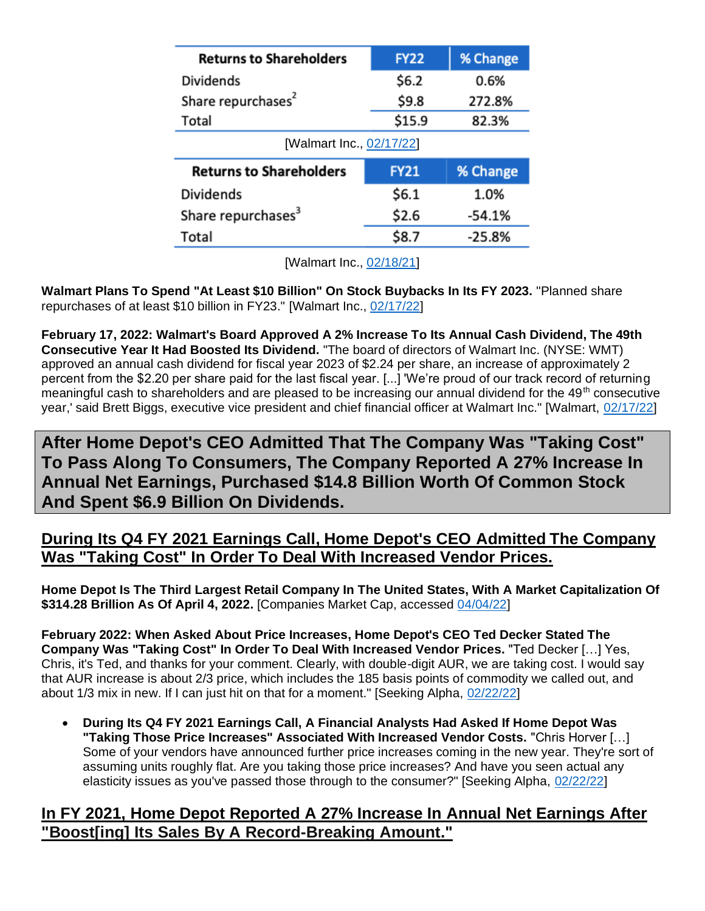| <b>FY22</b>              | % Change |  |  |  |  |  |
|--------------------------|----------|--|--|--|--|--|
| \$6.2                    | 0.6%     |  |  |  |  |  |
| \$9.8                    | 272.8%   |  |  |  |  |  |
| \$15.9                   | 82.3%    |  |  |  |  |  |
| [Walmart Inc., 02/17/22] |          |  |  |  |  |  |
| <b>FY21</b>              | % Change |  |  |  |  |  |
|                          |          |  |  |  |  |  |
| \$6.1                    | 1.0%     |  |  |  |  |  |
| \$2.6                    | -54.1%   |  |  |  |  |  |
|                          |          |  |  |  |  |  |

[Walmart Inc., [02/18/21\]](https://s2.q4cdn.com/056532643/files/doc_financials/2021/q4/Q4FY21-Earnings-Release_Final.pdf)

**Walmart Plans To Spend "At Least \$10 Billion" On Stock Buybacks In Its FY 2023.** "Planned share repurchases of at least \$10 billion in FY23." [Walmart Inc., [02/17/22\]](https://corporate.walmart.com/media-library/document/q4-fy22-earnings-release/_proxyDocument?id=0000017f-0521-deb8-ab7f-372d1d5a0000)

**February 17, 2022: Walmart's Board Approved A 2% Increase To Its Annual Cash Dividend, The 49th Consecutive Year It Had Boosted Its Dividend.** "The board of directors of Walmart Inc. (NYSE: WMT) approved an annual cash dividend for fiscal year 2023 of \$2.24 per share, an increase of approximately 2 percent from the \$2.20 per share paid for the last fiscal year. [...] 'We're proud of our track record of returning meaningful cash to shareholders and are pleased to be increasing our annual dividend for the 49<sup>th</sup> consecutive year,' said Brett Biggs, executive vice president and chief financial officer at Walmart Inc." [Walmart, [02/17/22\]](https://corporate.walmart.com/newsroom/2022/02/17/walmart-raises-annual-dividend-to-2-24-per-share-marking-49th-consecutive-year-of-dividend-increases)

<span id="page-8-0"></span>**After Home Depot's CEO Admitted That The Company Was "Taking Cost" To Pass Along To Consumers, The Company Reported A 27% Increase In Annual Net Earnings, Purchased \$14.8 Billion Worth Of Common Stock And Spent \$6.9 Billion On Dividends.**

# **During Its Q4 FY 2021 Earnings Call, Home Depot's CEO Admitted The Company Was "Taking Cost" In Order To Deal With Increased Vendor Prices.**

**Home Depot Is The Third Largest Retail Company In The United States, With A Market Capitalization Of \$314.28 Brillion As Of April 4, 2022.** [Companies Market Cap, accessed [04/04/22\]](https://companiesmarketcap.com/retail/largest-retail-companies-by-market-cap/)

**February 2022: When Asked About Price Increases, Home Depot's CEO Ted Decker Stated The Company Was "Taking Cost" In Order To Deal With Increased Vendor Prices.** "Ted Decker […] Yes, Chris, it's Ted, and thanks for your comment. Clearly, with double-digit AUR, we are taking cost. I would say that AUR increase is about 2/3 price, which includes the 185 basis points of commodity we called out, and about 1/3 mix in new. If I can just hit on that for a moment." [Seeking Alpha, [02/22/22\]](https://seekingalpha.com/article/4489122-home-depot-inc-s-hd-ceo-craig-menear-on-q4-2021-results-earnings-call-transcript)

• **During Its Q4 FY 2021 Earnings Call, A Financial Analysts Had Asked If Home Depot Was "Taking Those Price Increases" Associated With Increased Vendor Costs.** "Chris Horver […] Some of your vendors have announced further price increases coming in the new year. They're sort of assuming units roughly flat. Are you taking those price increases? And have you seen actual any elasticity issues as you've passed those through to the consumer?" [Seeking Alpha, [02/22/22\]](https://seekingalpha.com/article/4489122-home-depot-inc-s-hd-ceo-craig-menear-on-q4-2021-results-earnings-call-transcript)

# **In FY 2021, Home Depot Reported A 27% Increase In Annual Net Earnings After "Boost[ing] Its Sales By A Record-Breaking Amount."**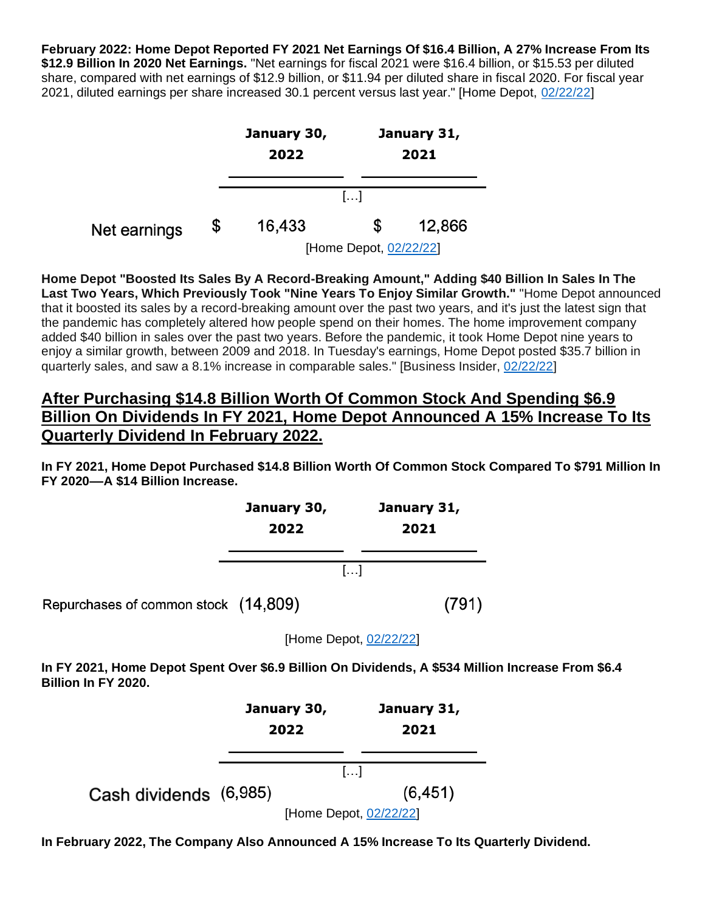**February 2022: Home Depot Reported FY 2021 Net Earnings Of \$16.4 Billion, A 27% Increase From Its \$12.9 Billion In 2020 Net Earnings.** "Net earnings for fiscal 2021 were \$16.4 billion, or \$15.53 per diluted share, compared with net earnings of \$12.9 billion, or \$11.94 per diluted share in fiscal 2020. For fiscal year 2021, diluted earnings per share increased 30.1 percent versus last year." [Home Depot, [02/22/22\]](https://ir.homedepot.com/news-releases/2022/02-22-2022-110220476)



[Home Depot, [02/22/22\]](https://ir.homedepot.com/news-releases/2022/02-22-2022-110220476)

**Home Depot "Boosted Its Sales By A Record-Breaking Amount," Adding \$40 Billion In Sales In The Last Two Years, Which Previously Took "Nine Years To Enjoy Similar Growth."** "Home Depot announced that it boosted its sales by a record-breaking amount over the past two years, and it's just the latest sign that the pandemic has completely altered how people spend on their homes. The home improvement company added \$40 billion in sales over the past two years. Before the pandemic, it took Home Depot nine years to enjoy a similar growth, between 2009 and 2018. In Tuesday's earnings, Home Depot posted \$35.7 billion in quarterly sales, and saw a 8.1% increase in comparable sales." [Business Insider, [02/22/22\]](https://www.businessinsider.com/home-depot-record-breaking-sales-growth-house-spending-soars-pandemic-2022-2)

# **After Purchasing \$14.8 Billion Worth Of Common Stock And Spending \$6.9 Billion On Dividends In FY 2021, Home Depot Announced A 15% Increase To Its Quarterly Dividend In February 2022.**

**In FY 2021, Home Depot Purchased \$14.8 Billion Worth Of Common Stock Compared To \$791 Million In FY 2020––A \$14 Billion Increase.**



[Home Depot, [02/22/22\]](https://ir.homedepot.com/news-releases/2022/02-22-2022-110220476)

**In FY 2021, Home Depot Spent Over \$6.9 Billion On Dividends, A \$534 Million Increase From \$6.4 Billion In FY 2020.** 



**In February 2022, The Company Also Announced A 15% Increase To Its Quarterly Dividend.**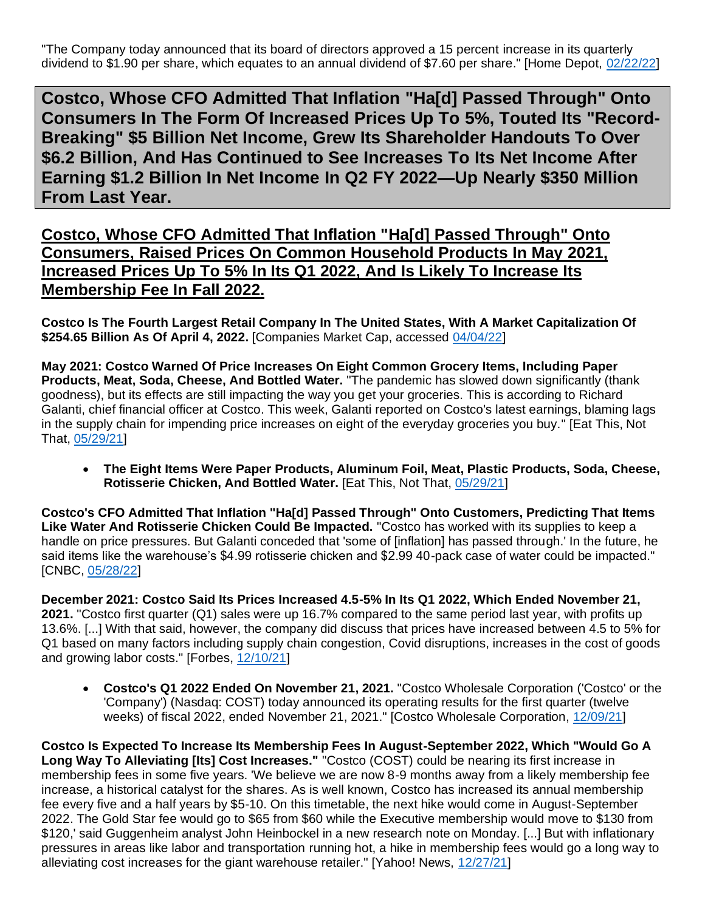"The Company today announced that its board of directors approved a 15 percent increase in its quarterly dividend to \$1.90 per share, which equates to an annual dividend of \$7.60 per share." [Home Depot, [02/22/22\]](https://ir.homedepot.com/news-releases/2022/02-22-2022-110220476)

<span id="page-10-0"></span>**Costco, Whose CFO Admitted That Inflation "Ha[d] Passed Through" Onto Consumers In The Form Of Increased Prices Up To 5%, Touted Its "Record-Breaking" \$5 Billion Net Income, Grew Its Shareholder Handouts To Over \$6.2 Billion, And Has Continued to See Increases To Its Net Income After Earning \$1.2 Billion In Net Income In Q2 FY 2022—Up Nearly \$350 Million From Last Year.**

**Costco, Whose CFO Admitted That Inflation "Ha[d] Passed Through" Onto Consumers, Raised Prices On Common Household Products In May 2021, Increased Prices Up To 5% In Its Q1 2022, And Is Likely To Increase Its Membership Fee In Fall 2022.**

**Costco Is The Fourth Largest Retail Company In The United States, With A Market Capitalization Of \$254.65 Billion As Of April 4, 2022.** [Companies Market Cap, accessed [04/04/22\]](https://companiesmarketcap.com/retail/largest-retail-companies-by-market-cap/)

**May 2021: Costco Warned Of Price Increases On Eight Common Grocery Items, Including Paper Products, Meat, Soda, Cheese, And Bottled Water.** "The pandemic has slowed down significantly (thank goodness), but its effects are still impacting the way you get your groceries. This is according to Richard Galanti, chief financial officer at Costco. This week, Galanti reported on Costco's latest earnings, blaming lags in the supply chain for impending price increases on eight of the everyday groceries you buy." [Eat This, Not That, [05/29/21\]](https://www.eatthis.com/news-costco-groceries-price-increase-may-2021/)

• **The Eight Items Were Paper Products, Aluminum Foil, Meat, Plastic Products, Soda, Cheese, Rotisserie Chicken, And Bottled Water.** [Eat This, Not That, [05/29/21\]](https://www.eatthis.com/news-costco-groceries-price-increase-may-2021/)

**Costco's CFO Admitted That Inflation "Ha[d] Passed Through" Onto Customers, Predicting That Items Like Water And Rotisserie Chicken Could Be Impacted.** "Costco has worked with its supplies to keep a handle on price pressures. But Galanti conceded that 'some of [inflation] has passed through.' In the future, he said items like the warehouse's \$4.99 rotisserie chicken and \$2.99 40-pack case of water could be impacted." [CNBC, [05/28/22\]](https://www.cnbc.com/2021/05/28/costco-is-seeing-inflation-abound-impacting-a-slew-of-consumer-products.html)

**December 2021: Costco Said Its Prices Increased 4.5-5% In Its Q1 2022, Which Ended November 21, 2021.** "Costco first quarter (Q1) sales were up 16.7% compared to the same period last year, with profits up 13.6%. [...] With that said, however, the company did discuss that prices have increased between 4.5 to 5% for Q1 based on many factors including supply chain congestion, Covid disruptions, increases in the cost of goods and growing labor costs." [Forbes, [12/10/21\]](https://www.forbes.com/sites/shelleykohan/2021/12/10/costco-prices-up-over-45-yet-demand-remains-strong/?sh=67e0098676bd)

• **Costco's Q1 2022 Ended On November 21, 2021.** "Costco Wholesale Corporation ('Costco' or the 'Company') (Nasdaq: COST) today announced its operating results for the first quarter (twelve weeks) of fiscal 2022, ended November 21, 2021." [Costco Wholesale Corporation, [12/09/21\]](https://investor.costco.com/news-releases/news-release-details/costco-wholesale-corporation-reports-first-quarter-fiscal-12)

**Costco Is Expected To Increase Its Membership Fees In August-September 2022, Which "Would Go A Long Way To Alleviating [Its] Cost Increases."** "Costco (COST) could be nearing its first increase in membership fees in some five years. 'We believe we are now 8-9 months away from a likely membership fee increase, a historical catalyst for the shares. As is well known, Costco has increased its annual membership fee every five and a half years by \$5-10. On this timetable, the next hike would come in August-September 2022. The Gold Star fee would go to \$65 from \$60 while the Executive membership would move to \$130 from \$120,' said Guggenheim analyst John Heinbockel in a new research note on Monday. [...] But with inflationary pressures in areas like labor and transportation running hot, a hike in membership fees would go a long way to alleviating cost increases for the giant warehouse retailer." [Yahoo! News, [12/27/21\]](https://news.yahoo.com/costco-may-be-about-9-months-away-from-raising-membership-fees-analyst-170420846.html)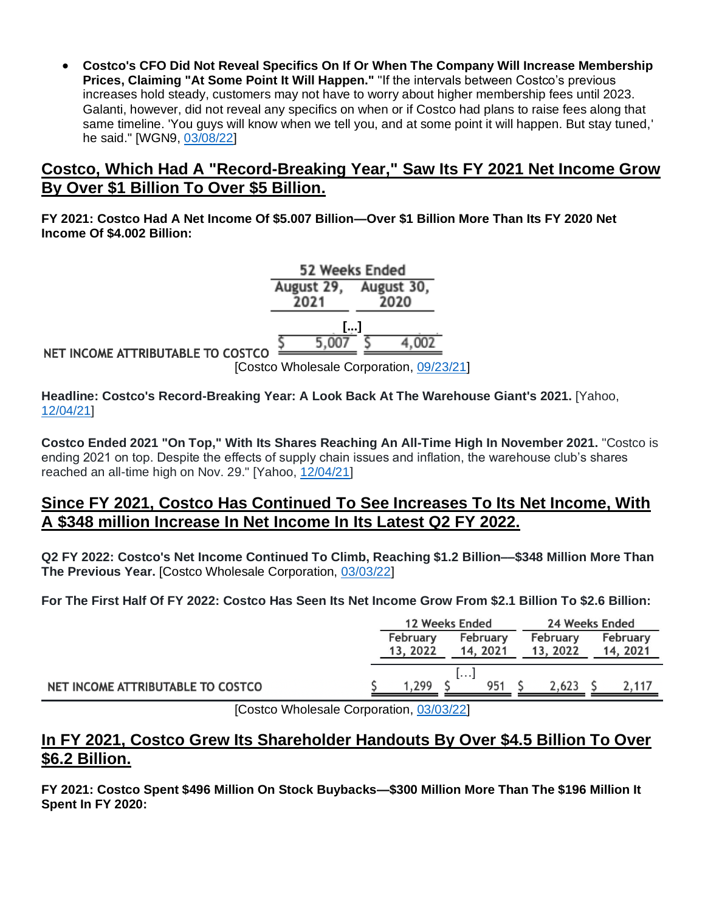• **Costco's CFO Did Not Reveal Specifics On If Or When The Company Will Increase Membership Prices, Claiming "At Some Point It Will Happen."** "If the intervals between Costco's previous increases hold steady, customers may not have to worry about higher membership fees until 2023. Galanti, however, did not reveal any specifics on when or if Costco had plans to raise fees along that same timeline. 'You guys will know when we tell you, and at some point it will happen. But stay tuned,' he said." [WGN9, [03/08/22\]](https://wgntv.com/news/when-is-costco-raising-its-membership-fees-heres-what-you-should-know/)

#### **Costco, Which Had A "Record-Breaking Year," Saw Its FY 2021 Net Income Grow By Over \$1 Billion To Over \$5 Billion.**

**FY 2021: Costco Had A Net Income Of \$5.007 Billion—Over \$1 Billion More Than Its FY 2020 Net Income Of \$4.002 Billion:**

52 Weeks Ended August 29. August 30. 2021 2020 **[...]** 5.007 4.002 NET INCOME ATTRIBUTABLE TO COSTCO [Costco Wholesale Corporation, [09/23/21\]](https://investor.costco.com/news-releases/news-release-details/costco-wholesale-corporation-reports-fourth-quarter-and-13)

**Headline: Costco's Record-Breaking Year: A Look Back At The Warehouse Giant's 2021.** [Yahoo, [12/04/21\]](https://www.yahoo.com/video/costco-record-breaking-look-back-230015759.html)

**Costco Ended 2021 "On Top," With Its Shares Reaching An All-Time High In November 2021.** "Costco is ending 2021 on top. Despite the effects of supply chain issues and inflation, the warehouse club's shares reached an all-time high on Nov. 29." [Yahoo, [12/04/21\]](https://www.yahoo.com/video/costco-record-breaking-look-back-230015759.html)

#### **Since FY 2021, Costco Has Continued To See Increases To Its Net Income, With A \$348 million Increase In Net Income In Its Latest Q2 FY 2022.**

**Q2 FY 2022: Costco's Net Income Continued To Climb, Reaching \$1.2 Billion––\$348 Million More Than The Previous Year.** [Costco Wholesale Corporation, [03/03/22\]](https://investor.costco.com/news-releases/news-release-details/costco-wholesale-corporation-reports-second-quarter-and-year-22)

**For The First Half Of FY 2022: Costco Has Seen Its Net Income Grow From \$2.1 Billion To \$2.6 Billion:**

|                                   | 12 Weeks Ended       |   | 24 Weeks Ended       |  |                      |  |                      |
|-----------------------------------|----------------------|---|----------------------|--|----------------------|--|----------------------|
|                                   | February<br>13, 2022 |   | February<br>14, 2021 |  | February<br>13, 2022 |  | February<br>14, 2021 |
|                                   |                      |   |                      |  |                      |  |                      |
| NET INCOME ATTRIBUTABLE TO COSTCO | .299                 | . | 951                  |  | 2.623                |  | <u>.</u>             |

[Costco Wholesale Corporation, [03/03/22\]](https://investor.costco.com/news-releases/news-release-details/costco-wholesale-corporation-reports-second-quarter-and-year-22)

# **In FY 2021, Costco Grew Its Shareholder Handouts By Over \$4.5 Billion To Over \$6.2 Billion.**

**FY 2021: Costco Spent \$496 Million On Stock Buybacks—\$300 Million More Than The \$196 Million It Spent In FY 2020:**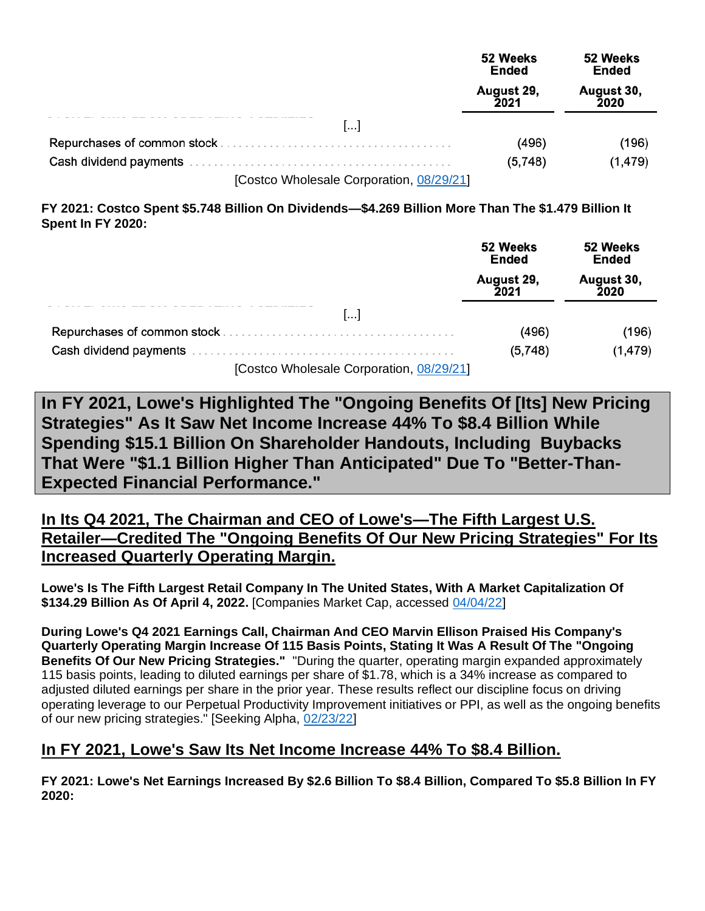|                                          | 52 Weeks<br>Ended  | 52 Weeks<br>Ended  |
|------------------------------------------|--------------------|--------------------|
|                                          | August 29,<br>2021 | August 30,<br>2020 |
| []                                       |                    |                    |
|                                          | (496)              | (196)              |
|                                          | (5,748)            | (1, 479)           |
| [Costco Wholesale Corporation, 08/29/21] |                    |                    |

**FY 2021: Costco Spent \$5.748 Billion On Dividends—\$4.269 Billion More Than The \$1.479 Billion It Spent In FY 2020:**

|                                          | 52 Weeks<br><b>Ended</b> | 52 Weeks<br>Ended  |
|------------------------------------------|--------------------------|--------------------|
|                                          | August 29,<br>2021       | August 30,<br>2020 |
| $\left[\ldots\right]$                    |                          |                    |
|                                          | (496)                    | (196)              |
|                                          | (5,748)                  | (1, 479)           |
| [Costco Wholesale Corporation, 08/29/21] |                          |                    |

<span id="page-12-0"></span>**In FY 2021, Lowe's Highlighted The "Ongoing Benefits Of [Its] New Pricing Strategies" As It Saw Net Income Increase 44% To \$8.4 Billion While Spending \$15.1 Billion On Shareholder Handouts, Including Buybacks That Were "\$1.1 Billion Higher Than Anticipated" Due To "Better-Than-Expected Financial Performance."**

**In Its Q4 2021, The Chairman and CEO of Lowe's—The Fifth Largest U.S. Retailer—Credited The "Ongoing Benefits Of Our New Pricing Strategies" For Its Increased Quarterly Operating Margin.**

**Lowe's Is The Fifth Largest Retail Company In The United States, With A Market Capitalization Of \$134.29 Billion As Of April 4, 2022.** [Companies Market Cap, accessed [04/04/22\]](https://companiesmarketcap.com/retail/largest-retail-companies-by-market-cap/)

**During Lowe's Q4 2021 Earnings Call, Chairman And CEO Marvin Ellison Praised His Company's Quarterly Operating Margin Increase Of 115 Basis Points, Stating It Was A Result Of The "Ongoing Benefits Of Our New Pricing Strategies."** "During the quarter, operating margin expanded approximately 115 basis points, leading to diluted earnings per share of \$1.78, which is a 34% increase as compared to adjusted diluted earnings per share in the prior year. These results reflect our discipline focus on driving operating leverage to our Perpetual Productivity Improvement initiatives or PPI, as well as the ongoing benefits of our new pricing strategies." [Seeking Alpha, [02/23/22\]](https://seekingalpha.com/article/4489520-lowes-companies-inc-s-low-ceo-marvin-ellison-on-q4-2021-results-earnings-call-transcript)

#### **In FY 2021, Lowe's Saw Its Net Income Increase 44% To \$8.4 Billion.**

**FY 2021: Lowe's Net Earnings Increased By \$2.6 Billion To \$8.4 Billion, Compared To \$5.8 Billion In FY 2020:**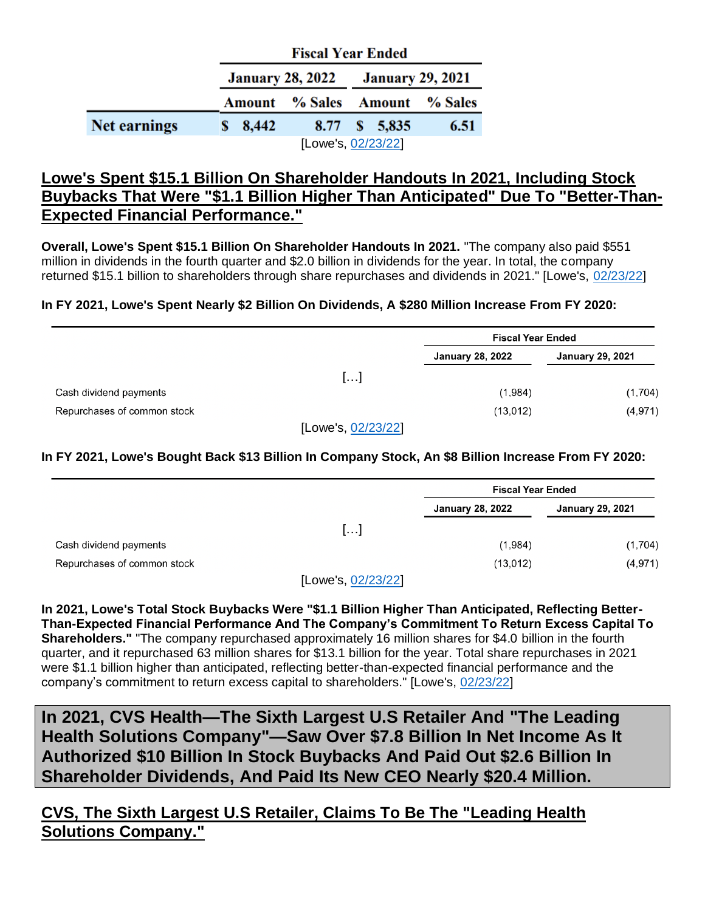|                     |                     | <b>Fiscal Year Ended</b>                 |      |
|---------------------|---------------------|------------------------------------------|------|
|                     |                     | <b>January 28, 2022</b> January 29, 2021 |      |
|                     |                     | <b>Amount</b> % Sales Amount % Sales     |      |
| <b>Net earnings</b> | $\frac{$}{8}$ 8,442 | 8.77 \$ 5,835                            | 6.51 |
|                     |                     | [Lowe's, 02/23/22]                       |      |

# **Lowe's Spent \$15.1 Billion On Shareholder Handouts In 2021, Including Stock Buybacks That Were "\$1.1 Billion Higher Than Anticipated" Due To "Better-Than-Expected Financial Performance."**

**Overall, Lowe's Spent \$15.1 Billion On Shareholder Handouts In 2021.** "The company also paid \$551 million in dividends in the fourth quarter and \$2.0 billion in dividends for the year. In total, the company returned \$15.1 billion to shareholders through share repurchases and dividends in 2021." [Lowe's, [02/23/22\]](https://corporate.lowes.com/sites/lowes-corp/files/2022-02/Lowes-Q4-2021-Earnings-Press-Release.pdf)

#### **In FY 2021, Lowe's Spent Nearly \$2 Billion On Dividends, A \$280 Million Increase From FY 2020:**

|                             |                    | <b>Fiscal Year Ended</b> |                         |  |  |
|-----------------------------|--------------------|--------------------------|-------------------------|--|--|
|                             |                    | <b>January 28, 2022</b>  | <b>January 29, 2021</b> |  |  |
|                             | []                 |                          |                         |  |  |
| Cash dividend payments      |                    | (1,984)                  | (1,704)                 |  |  |
| Repurchases of common stock |                    | (13,012)                 | (4, 971)                |  |  |
|                             | [Lowe's, 02/23/22] |                          |                         |  |  |

**In FY 2021, Lowe's Bought Back \$13 Billion In Company Stock, An \$8 Billion Increase From FY 2020:**

| <b>Fiscal Year Ended</b> |                         |  |  |
|--------------------------|-------------------------|--|--|
| January 28, 2022         | <b>January 29, 2021</b> |  |  |
|                          |                         |  |  |
| (1,984)                  | (1,704)                 |  |  |
| (13,012)                 | (4, 971)                |  |  |
| []                       |                         |  |  |

[Lowe's, <u>02/23/22</u>]

**In 2021, Lowe's Total Stock Buybacks Were "\$1.1 Billion Higher Than Anticipated, Reflecting Better-Than-Expected Financial Performance And The Company's Commitment To Return Excess Capital To Shareholders."** "The company repurchased approximately 16 million shares for \$4.0 billion in the fourth quarter, and it repurchased 63 million shares for \$13.1 billion for the year. Total share repurchases in 2021 were \$1.1 billion higher than anticipated, reflecting better-than-expected financial performance and the company's commitment to return excess capital to shareholders." [Lowe's, [02/23/22\]](https://corporate.lowes.com/sites/lowes-corp/files/2022-02/Lowes-Q4-2021-Earnings-Press-Release.pdf)

<span id="page-13-0"></span>**In 2021, CVS Health—The Sixth Largest U.S Retailer And "The Leading Health Solutions Company"—Saw Over \$7.8 Billion In Net Income As It Authorized \$10 Billion In Stock Buybacks And Paid Out \$2.6 Billion In Shareholder Dividends, And Paid Its New CEO Nearly \$20.4 Million.** 

**CVS, The Sixth Largest U.S Retailer, Claims To Be The "Leading Health Solutions Company."**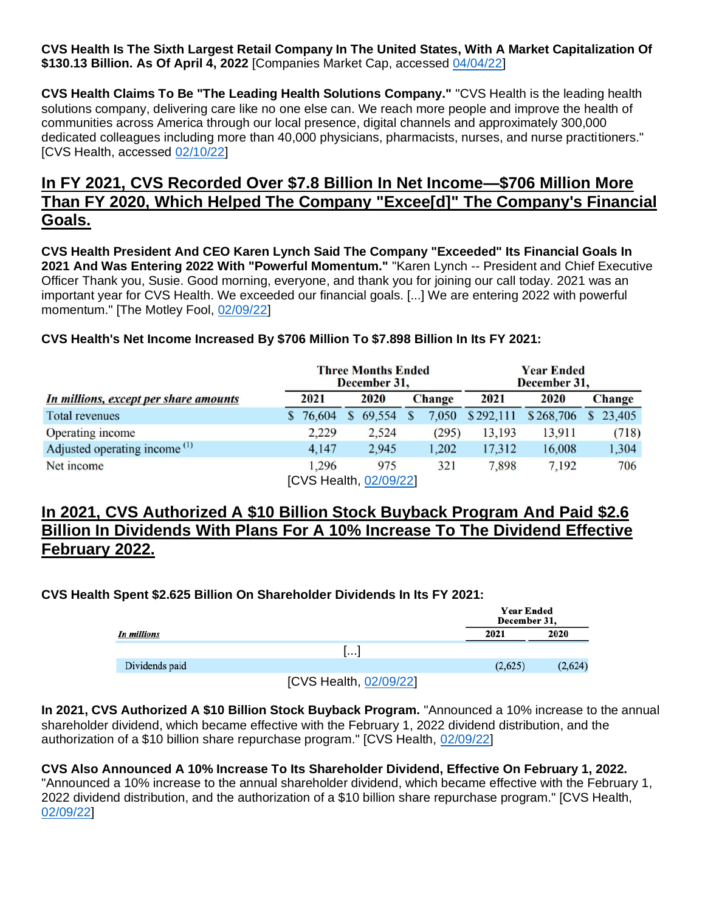**CVS Health Is The Sixth Largest Retail Company In The United States, With A Market Capitalization Of \$130.13 Billion. As Of April 4, 2022** [Companies Market Cap, accessed [04/04/22\]](https://companiesmarketcap.com/retail/largest-retail-companies-by-market-cap/)

**CVS Health Claims To Be "The Leading Health Solutions Company."** "CVS Health is the leading health solutions company, delivering care like no one else can. We reach more people and improve the health of communities across America through our local presence, digital channels and approximately 300,000 dedicated colleagues including more than 40,000 physicians, pharmacists, nurses, and nurse practitioners." [CVS Health, accessed [02/10/22\]](https://www.cvshealth.com/news-and-insights/press-releases/cvs-health-to-hold-fourth-quarter-and-full-year-2021-earnings)

# **In FY 2021, CVS Recorded Over \$7.8 Billion In Net Income—\$706 Million More Than FY 2020, Which Helped The Company "Excee[d]" The Company's Financial Goals.**

**CVS Health President And CEO Karen Lynch Said The Company "Exceeded" Its Financial Goals In 2021 And Was Entering 2022 With "Powerful Momentum."** "Karen Lynch -- President and Chief Executive Officer Thank you, Susie. Good morning, everyone, and thank you for joining our call today. 2021 was an important year for CVS Health. We exceeded our financial goals. [...] We are entering 2022 with powerful momentum." [The Motley Fool, [02/09/22\]](https://www.fool.com/earnings/call-transcripts/2022/02/10/cvs-health-cvs-q4-2021-earnings-call-transcript/)

#### **CVS Health's Net Income Increased By \$706 Million To \$7.898 Billion In Its FY 2021:**

|                                          | <b>Three Months Ended</b><br>December 31, |                        |   | <b>Year Ended</b><br>December 31, |               |           |           |   |               |
|------------------------------------------|-------------------------------------------|------------------------|---|-----------------------------------|---------------|-----------|-----------|---|---------------|
| In millions, except per share amounts    |                                           | 2021                   |   | 2020                              | <b>Change</b> | 2021      | 2020      |   | <b>Change</b> |
| <b>Total revenues</b>                    |                                           | 76,604                 | S | 69,554                            | 050           | \$292,111 | \$268,706 | S | 23,405        |
| Operating income                         |                                           | 2,229                  |   | 2,524                             | (295)         | 13,193    | 13,911    |   | (718)         |
| Adjusted operating income <sup>(1)</sup> |                                           | 4,147                  |   | 2,945                             | 1,202         | 17,312    | 16,008    |   | 1,304         |
| Net income                               |                                           | 1,296                  |   | 975                               | 321           | 7,898     | 7,192     |   | 706           |
|                                          |                                           | [CVS Health, 02/09/22] |   |                                   |               |           |           |   |               |

**In 2021, CVS Authorized A \$10 Billion Stock Buyback Program And Paid \$2.6 Billion In Dividends With Plans For A 10% Increase To The Dividend Effective February 2022.** 

#### **CVS Health Spent \$2.625 Billion On Shareholder Dividends In Its FY 2021:**

|                |                        | <b>Year Ended</b><br>December 31, |         |
|----------------|------------------------|-----------------------------------|---------|
| In millions    |                        | 2021                              | 2020    |
|                | .                      |                                   |         |
| Dividends paid |                        | (2,625)                           | (2,624) |
|                | [CVS Health, 02/09/22] |                                   |         |

**In 2021, CVS Authorized A \$10 Billion Stock Buyback Program.** "Announced a 10% increase to the annual shareholder dividend, which became effective with the February 1, 2022 dividend distribution, and the authorization of a \$10 billion share repurchase program." [CVS Health, [02/09/22\]](https://s2.q4cdn.com/447711729/files/doc_financials/2021/q4/Q4-2021-Earnings-Release.pdf)

#### **CVS Also Announced A 10% Increase To Its Shareholder Dividend, Effective On February 1, 2022.**

"Announced a 10% increase to the annual shareholder dividend, which became effective with the February 1, 2022 dividend distribution, and the authorization of a \$10 billion share repurchase program." [CVS Health, [02/09/22\]](https://s2.q4cdn.com/447711729/files/doc_financials/2021/q4/Q4-2021-Earnings-Release.pdf)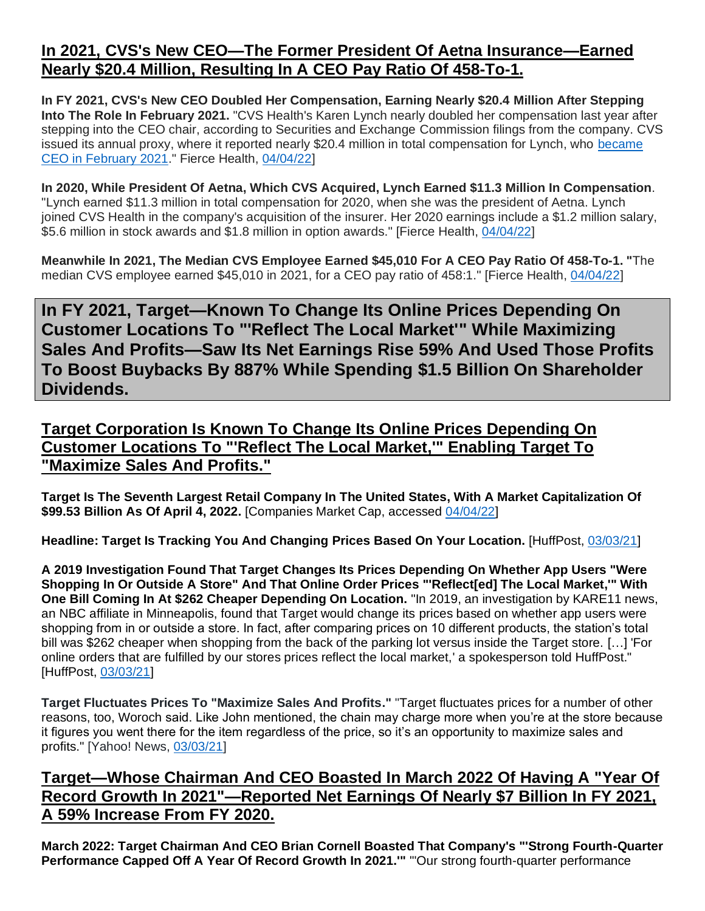# **In 2021, CVS's New CEO—The Former President Of Aetna Insurance—Earned Nearly \$20.4 Million, Resulting In A CEO Pay Ratio Of 458-To-1.**

**In FY 2021, CVS's New CEO Doubled Her Compensation, Earning Nearly \$20.4 Million After Stepping Into The Role In February 2021.** "CVS Health's Karen Lynch nearly doubled her compensation last year after stepping into the CEO chair, according to Securities and Exchange Commission filings from the company. CVS issued its annual proxy, where it reported nearly \$20.4 million in total compensation for Lynch, who [became](https://www.fiercehealthcare.com/payer/karen-lynch-officially-takes-helm-cvs-health)  [CEO in February 2021.](https://www.fiercehealthcare.com/payer/karen-lynch-officially-takes-helm-cvs-health)" Fierce Health, [04/04/22\]](https://www.fiercehealthcare.com/payers/heres-how-much-cvs-ceo-karen-lynch-made-last-year)

**In 2020, While President Of Aetna, Which CVS Acquired, Lynch Earned \$11.3 Million In Compensation**. "Lynch earned \$11.3 million in total compensation for 2020, when she was the president of Aetna. Lynch joined CVS Health in the company's acquisition of the insurer. Her 2020 earnings include a \$1.2 million salary, \$5.6 million in stock awards and \$1.8 million in option awards." [Fierce Health, [04/04/22\]](https://www.fiercehealthcare.com/payers/heres-how-much-cvs-ceo-karen-lynch-made-last-year)

**Meanwhile In 2021, The Median CVS Employee Earned \$45,010 For A CEO Pay Ratio Of 458-To-1. "**The median CVS employee earned \$45,010 in 2021, for a CEO pay ratio of 458:1." [Fierce Health, [04/04/22\]](https://www.fiercehealthcare.com/payers/heres-how-much-cvs-ceo-karen-lynch-made-last-year)

<span id="page-15-0"></span>**In FY 2021, Target—Known To Change Its Online Prices Depending On Customer Locations To "'Reflect The Local Market'" While Maximizing Sales And Profits—Saw Its Net Earnings Rise 59% And Used Those Profits To Boost Buybacks By 887% While Spending \$1.5 Billion On Shareholder Dividends.**

# **Target Corporation Is Known To Change Its Online Prices Depending On Customer Locations To "'Reflect The Local Market,'" Enabling Target To "Maximize Sales And Profits."**

**Target Is The Seventh Largest Retail Company In The United States, With A Market Capitalization Of \$99.53 Billion As Of April 4, 2022.** [Companies Market Cap, accessed [04/04/22\]](https://companiesmarketcap.com/retail/largest-retail-companies-by-market-cap/)

**Headline: Target Is Tracking You And Changing Prices Based On Your Location.** [HuffPost, [03/03/21\]](https://www.huffpost.com/entry/target-tracking-location-changing-prices_l_603fd12bc5b6ff75ac410a38)

**A 2019 Investigation Found That Target Changes Its Prices Depending On Whether App Users "Were Shopping In Or Outside A Store" And That Online Order Prices "'Reflect[ed] The Local Market,'" With One Bill Coming In At \$262 Cheaper Depending On Location.** "In 2019, an investigation by KARE11 news, an NBC affiliate in Minneapolis, found that Target would change its prices based on whether app users were shopping from in or outside a store. In fact, after comparing prices on 10 different products, the station's total bill was \$262 cheaper when shopping from the back of the parking lot versus inside the Target store. […] 'For online orders that are fulfilled by our stores prices reflect the local market,' a spokesperson told HuffPost." [HuffPost, [03/03/21\]](https://www.huffpost.com/entry/target-tracking-location-changing-prices_l_603fd12bc5b6ff75ac410a38)

**Target Fluctuates Prices To "Maximize Sales And Profits."** "Target fluctuates prices for a number of other reasons, too, Woroch said. Like John mentioned, the chain may charge more when you're at the store because it figures you went there for the item regardless of the price, so it's an opportunity to maximize sales and profits." [Yahoo! News, [03/03/21\]](https://www.yahoo.com/huffpost/target-tracking-location-changing-prices-010255234.html)

# **Target—Whose Chairman And CEO Boasted In March 2022 Of Having A "Year Of Record Growth In 2021"—Reported Net Earnings Of Nearly \$7 Billion In FY 2021, A 59% Increase From FY 2020.**

**March 2022: Target Chairman And CEO Brian Cornell Boasted That Company's "'Strong Fourth-Quarter**  Performance Capped Off A Year Of Record Growth In 2021." "Our strong fourth-quarter performance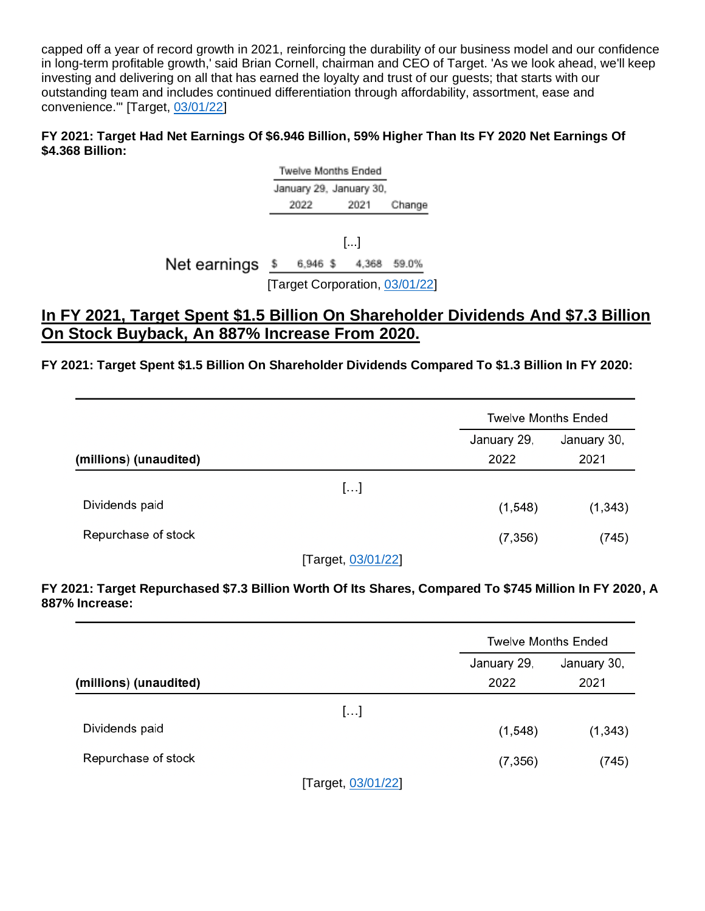capped off a year of record growth in 2021, reinforcing the durability of our business model and our confidence in long-term profitable growth,' said Brian Cornell, chairman and CEO of Target. 'As we look ahead, we'll keep investing and delivering on all that has earned the loyalty and trust of our guests; that starts with our outstanding team and includes continued differentiation through affordability, assortment, ease and convenience.'" [Target, [03/01/22\]](https://investors.target.com/news-releases/news-release-details/target-corporation-reports-fourth-quarter-and-full-year-2021)

#### **FY 2021: Target Had Net Earnings Of \$6.946 Billion, 59% Higher Than Its FY 2020 Net Earnings Of \$4.368 Billion:**

Twelve Months Ended January 29, January 30, 2022 2021 Change

[...] Net earnings \$ 6,946 \$ 4,368 59.0% [Target Corporation, [03/01/22\]](https://investors.target.com/news-releases/news-release-details/target-corporation-reports-fourth-quarter-and-full-year-2021)

# **In FY 2021, Target Spent \$1.5 Billion On Shareholder Dividends And \$7.3 Billion On Stock Buyback, An 887% Increase From 2020.**

**FY 2021: Target Spent \$1.5 Billion On Shareholder Dividends Compared To \$1.3 Billion In FY 2020:**

|                        |                              | <b>Twelve Months Ended</b> |          |  |
|------------------------|------------------------------|----------------------------|----------|--|
|                        |                              | January 29,<br>January 30, |          |  |
| (millions) (unaudited) |                              | 2022                       | 2021     |  |
|                        | []                           |                            |          |  |
| Dividends paid         |                              | (1,548)                    | (1, 343) |  |
| Repurchase of stock    |                              | (7, 356)                   | (745)    |  |
| --                     | $\sim$ 00 $\sim$ 1000 $\sim$ |                            |          |  |

[Target, [03/01/22\]](https://investors.target.com/news-releases/news-release-details/target-corporation-reports-fourth-quarter-and-full-year-2021)

**FY 2021: Target Repurchased \$7.3 Billion Worth Of Its Shares, Compared To \$745 Million In FY 2020, A 887% Increase:** 

|                        |                                                                                                                                                                                                                                                                                                                                    | <b>Twelve Months Ended</b> |                     |  |
|------------------------|------------------------------------------------------------------------------------------------------------------------------------------------------------------------------------------------------------------------------------------------------------------------------------------------------------------------------------|----------------------------|---------------------|--|
| (millions) (unaudited) |                                                                                                                                                                                                                                                                                                                                    | January 29,<br>2022        | January 30,<br>2021 |  |
|                        | []                                                                                                                                                                                                                                                                                                                                 |                            |                     |  |
| Dividends paid         |                                                                                                                                                                                                                                                                                                                                    | (1,548)                    | (1, 343)            |  |
| Repurchase of stock    |                                                                                                                                                                                                                                                                                                                                    | (7, 356)                   | (745)               |  |
|                        | $\mathbf{r}$ $\mathbf{r}$ $\mathbf{r}$ $\mathbf{r}$ $\mathbf{r}$ $\mathbf{r}$ $\mathbf{r}$ $\mathbf{r}$ $\mathbf{r}$ $\mathbf{r}$ $\mathbf{r}$ $\mathbf{r}$ $\mathbf{r}$ $\mathbf{r}$ $\mathbf{r}$ $\mathbf{r}$ $\mathbf{r}$ $\mathbf{r}$ $\mathbf{r}$ $\mathbf{r}$ $\mathbf{r}$ $\mathbf{r}$ $\mathbf{r}$ $\mathbf{r}$ $\mathbf{$ |                            |                     |  |

[Target, [03/01/22\]](https://investors.target.com/news-releases/news-release-details/target-corporation-reports-fourth-quarter-and-full-year-2021)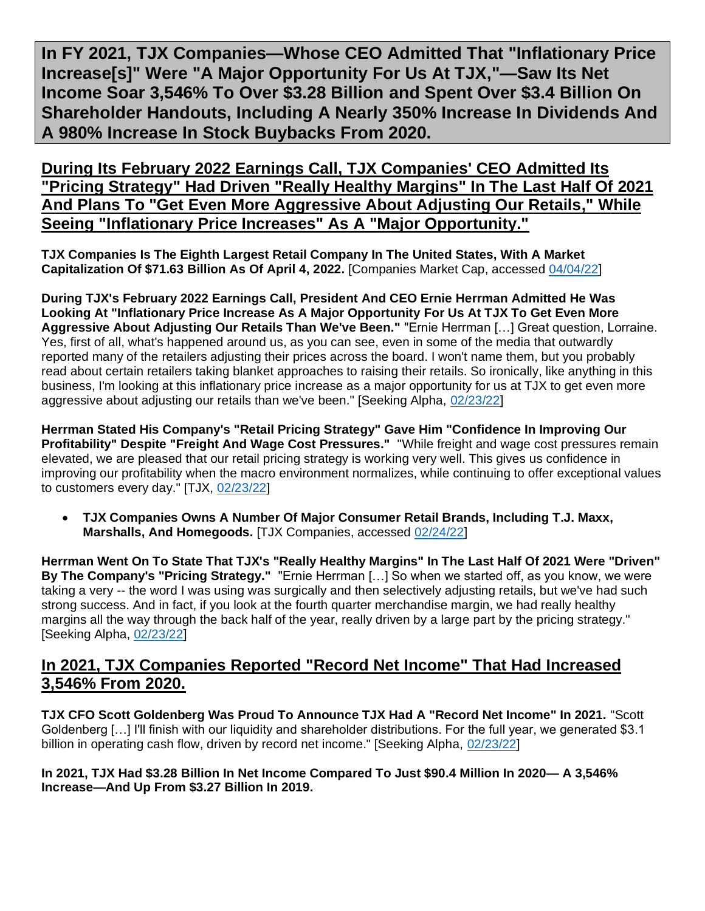<span id="page-17-0"></span>**In FY 2021, TJX Companies—Whose CEO Admitted That "Inflationary Price Increase[s]" Were "A Major Opportunity For Us At TJX,"—Saw Its Net Income Soar 3,546% To Over \$3.28 Billion and Spent Over \$3.4 Billion On Shareholder Handouts, Including A Nearly 350% Increase In Dividends And A 980% Increase In Stock Buybacks From 2020.**

**During Its February 2022 Earnings Call, TJX Companies' CEO Admitted Its "Pricing Strategy" Had Driven "Really Healthy Margins" In The Last Half Of 2021 And Plans To "Get Even More Aggressive About Adjusting Our Retails," While Seeing "Inflationary Price Increases" As A "Major Opportunity."** 

**TJX Companies Is The Eighth Largest Retail Company In The United States, With A Market Capitalization Of \$71.63 Billion As Of April 4, 2022.** [Companies Market Cap, accessed [04/04/22\]](https://companiesmarketcap.com/retail/largest-retail-companies-by-market-cap/)

**During TJX's February 2022 Earnings Call, President And CEO Ernie Herrman Admitted He Was Looking At "Inflationary Price Increase As A Major Opportunity For Us At TJX To Get Even More Aggressive About Adjusting Our Retails Than We've Been."** "Ernie Herrman […] Great question, Lorraine. Yes, first of all, what's happened around us, as you can see, even in some of the media that outwardly reported many of the retailers adjusting their prices across the board. I won't name them, but you probably read about certain retailers taking blanket approaches to raising their retails. So ironically, like anything in this business, I'm looking at this inflationary price increase as a major opportunity for us at TJX to get even more aggressive about adjusting our retails than we've been." [Seeking Alpha, [02/23/22\]](https://seekingalpha.com/article/4489562-tjx-companies-inc-tjx-ceo-ernie-herrman-on-q4-2022-results-earnings-call-transcript)

**Herrman Stated His Company's "Retail Pricing Strategy" Gave Him "Confidence In Improving Our Profitability" Despite "Freight And Wage Cost Pressures."** "While freight and wage cost pressures remain elevated, we are pleased that our retail pricing strategy is working very well. This gives us confidence in improving our profitability when the macro environment normalizes, while continuing to offer exceptional values to customers every day." [TJX, [02/23/22\]](https://investor.tjx.com/news-releases/news-release-details/tjx-companies-inc-reports-very-strong-us-open-only-comp-store)

• **TJX Companies Owns A Number Of Major Consumer Retail Brands, Including T.J. Maxx, Marshalls, And Homegoods.** [TJX Companies, accessed [02/24/22\]](https://www.tjx.com/businesses)

**Herrman Went On To State That TJX's "Really Healthy Margins" In The Last Half Of 2021 Were "Driven" By The Company's "Pricing Strategy."** "Ernie Herrman […] So when we started off, as you know, we were taking a very -- the word I was using was surgically and then selectively adjusting retails, but we've had such strong success. And in fact, if you look at the fourth quarter merchandise margin, we had really healthy margins all the way through the back half of the year, really driven by a large part by the pricing strategy." [Seeking Alpha, [02/23/22\]](https://seekingalpha.com/article/4489562-tjx-companies-inc-tjx-ceo-ernie-herrman-on-q4-2022-results-earnings-call-transcript)

# **In 2021, TJX Companies Reported "Record Net Income" That Had Increased 3,546% From 2020.**

**TJX CFO Scott Goldenberg Was Proud To Announce TJX Had A "Record Net Income" In 2021.** "Scott Goldenberg […] I'll finish with our liquidity and shareholder distributions. For the full year, we generated \$3.1 billion in operating cash flow, driven by record net income." [Seeking Alpha, [02/23/22\]](https://seekingalpha.com/article/4489562-tjx-companies-inc-tjx-ceo-ernie-herrman-on-q4-2022-results-earnings-call-transcript)

#### **In 2021, TJX Had \$3.28 Billion In Net Income Compared To Just \$90.4 Million In 2020— A 3,546% Increase—And Up From \$3.27 Billion In 2019.**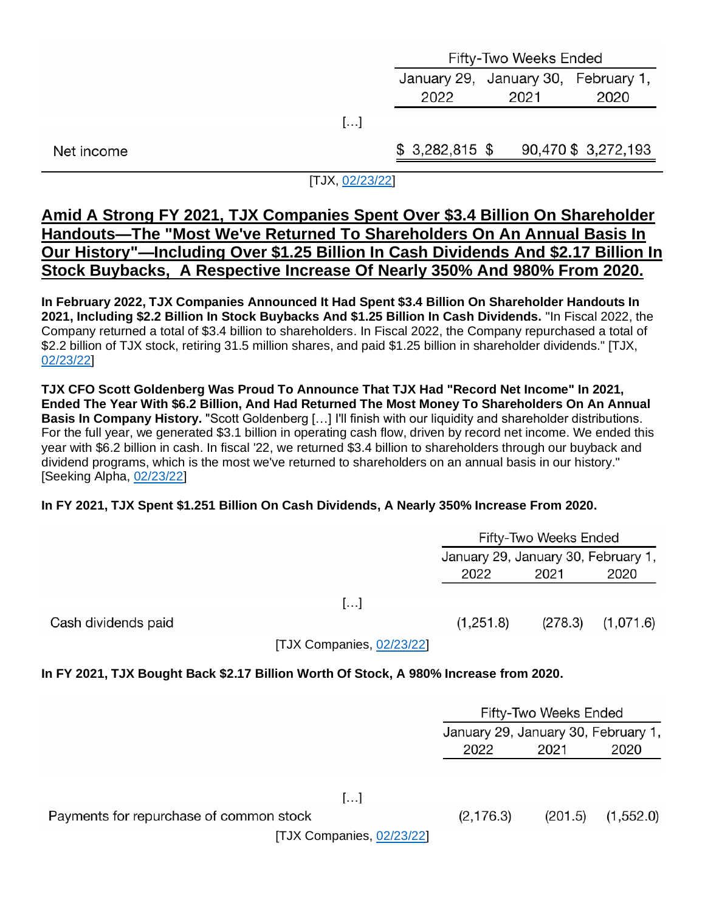|            | Fifty-Two Weeks Ended               |      |                    |
|------------|-------------------------------------|------|--------------------|
|            | January 29, January 30, February 1, |      |                    |
|            | 2022                                | 2021 | 2020               |
|            |                                     |      |                    |
| Net income | $$3,282,815$ \$                     |      | 90,470 \$3,272,193 |

#### [TJX, [02/23/22\]](https://investor.tjx.com/news-releases/news-release-details/tjx-companies-inc-reports-very-strong-us-open-only-comp-store)

### **Amid A Strong FY 2021, TJX Companies Spent Over \$3.4 Billion On Shareholder Handouts—The "Most We've Returned To Shareholders On An Annual Basis In Our History"—Including Over \$1.25 Billion In Cash Dividends And \$2.17 Billion In Stock Buybacks, A Respective Increase Of Nearly 350% And 980% From 2020.**

**In February 2022, TJX Companies Announced It Had Spent \$3.4 Billion On Shareholder Handouts In 2021, Including \$2.2 Billion In Stock Buybacks And \$1.25 Billion In Cash Dividends.** "In Fiscal 2022, the Company returned a total of \$3.4 billion to shareholders. In Fiscal 2022, the Company repurchased a total of \$2.2 billion of TJX stock, retiring 31.5 million shares, and paid \$1.25 billion in shareholder dividends." [TJX, [02/23/22\]](https://investor.tjx.com/news-releases/news-release-details/tjx-companies-inc-reports-very-strong-us-open-only-comp-store)

**TJX CFO Scott Goldenberg Was Proud To Announce That TJX Had "Record Net Income" In 2021, Ended The Year With \$6.2 Billion, And Had Returned The Most Money To Shareholders On An Annual Basis In Company History.** "Scott Goldenberg […] I'll finish with our liquidity and shareholder distributions. For the full year, we generated \$3.1 billion in operating cash flow, driven by record net income. We ended this year with \$6.2 billion in cash. In fiscal '22, we returned \$3.4 billion to shareholders through our buyback and dividend programs, which is the most we've returned to shareholders on an annual basis in our history." [Seeking Alpha, [02/23/22\]](https://seekingalpha.com/article/4489562-tjx-companies-inc-tjx-ceo-ernie-herrman-on-q4-2022-results-earnings-call-transcript)

#### **In FY 2021, TJX Spent \$1.251 Billion On Cash Dividends, A Nearly 350% Increase From 2020.**

|                                                                                       | Fifty-Two Weeks Ended               |                       |            |
|---------------------------------------------------------------------------------------|-------------------------------------|-----------------------|------------|
|                                                                                       | January 29, January 30, February 1, |                       |            |
|                                                                                       | 2022                                | 2021                  | 2020       |
| []                                                                                    |                                     |                       |            |
| Cash dividends paid                                                                   | (1,251.8)                           | (278.3)               | (1,071.6)  |
| [TJX Companies, 02/23/22]                                                             |                                     |                       |            |
| In FY 2021, TJX Bought Back \$2.17 Billion Worth Of Stock, A 980% Increase from 2020. |                                     |                       |            |
|                                                                                       |                                     | Fifty-Two Weeks Ended |            |
|                                                                                       | January 29, January 30, February 1, |                       |            |
|                                                                                       | 2022                                | 2021                  | 2020       |
|                                                                                       |                                     |                       |            |
| []                                                                                    |                                     |                       |            |
| Payments for repurchase of common stock                                               | (2, 176.3)                          | (201.5)               | (1, 552.0) |
| [TJX Companies, 02/23/22]                                                             |                                     |                       |            |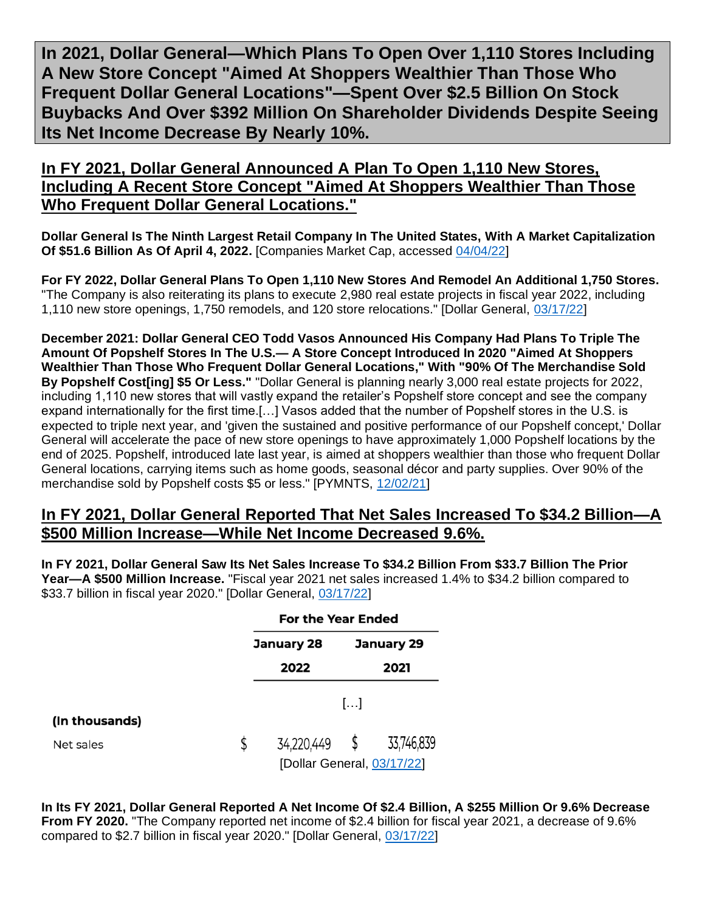<span id="page-19-0"></span>**In 2021, Dollar General—Which Plans To Open Over 1,110 Stores Including A New Store Concept "Aimed At Shoppers Wealthier Than Those Who Frequent Dollar General Locations"—Spent Over \$2.5 Billion On Stock Buybacks And Over \$392 Million On Shareholder Dividends Despite Seeing Its Net Income Decrease By Nearly 10%.**

**In FY 2021, Dollar General Announced A Plan To Open 1,110 New Stores, Including A Recent Store Concept "Aimed At Shoppers Wealthier Than Those Who Frequent Dollar General Locations."**

**Dollar General Is The Ninth Largest Retail Company In The United States, With A Market Capitalization Of \$51.6 Billion As Of April 4, 2022.** [Companies Market Cap, accessed [04/04/22\]](https://companiesmarketcap.com/retail/largest-retail-companies-by-market-cap/)

**For FY 2022, Dollar General Plans To Open 1,110 New Stores And Remodel An Additional 1,750 Stores.**  "The Company is also reiterating its plans to execute 2,980 real estate projects in fiscal year 2022, including 1,110 new store openings, 1,750 remodels, and 120 store relocations." [Dollar General, [03/17/22\]](https://investor.dollargeneral.com/websites/dollargeneral/English/2120/us-press-release.html?airportNewsID=833ee4cb-9391-4541-aca2-5764088d47ab)

**December 2021: Dollar General CEO Todd Vasos Announced His Company Had Plans To Triple The Amount Of Popshelf Stores In The U.S.— A Store Concept Introduced In 2020 "Aimed At Shoppers Wealthier Than Those Who Frequent Dollar General Locations," With "90% Of The Merchandise Sold By Popshelf Cost[ing] \$5 Or Less."** "Dollar General is planning nearly 3,000 real estate projects for 2022, including 1,110 new stores that will vastly expand the retailer's Popshelf store concept and see the company expand internationally for the first time.[…] Vasos added that the number of Popshelf stores in the U.S. is expected to triple next year, and 'given the sustained and positive performance of our Popshelf concept,' Dollar General will accelerate the pace of new store openings to have approximately 1,000 Popshelf locations by the end of 2025. Popshelf, introduced late last year, is aimed at shoppers wealthier than those who frequent Dollar General locations, carrying items such as home goods, seasonal décor and party supplies. Over 90% of the merchandise sold by Popshelf costs \$5 or less." [PYMNTS, [12/02/21\]](https://www.pymnts.com/news/retail/2021/dollar-general-says-no-plans-to-raise-core-product-prices-unlike-dollar-tree-rival/#:~:text=Dollar%20General%20Says%20No%20Plans,Prices%2C%20Unlike%20Dollar%20Tree%20Rival&text=Dollar%20General%20is%20planning%20nearly,internationally%20for%20the%20first%20time.)

#### **In FY 2021, Dollar General Reported That Net Sales Increased To \$34.2 Billion—A \$500 Million Increase—While Net Income Decreased 9.6%.**

**In FY 2021, Dollar General Saw Its Net Sales Increase To \$34.2 Billion From \$33.7 Billion The Prior Year—A \$500 Million Increase.** "Fiscal year 2021 net sales increased 1.4% to \$34.2 billion compared to \$33.7 billion in fiscal year 2020." [Dollar General, [03/17/22\]](https://investor.dollargeneral.com/websites/dollargeneral/English/2120/us-press-release.html?airportNewsID=833ee4cb-9391-4541-aca2-5764088d47ab)

|                | <b>For the Year Ended</b>  |  |            |  |
|----------------|----------------------------|--|------------|--|
|                | January 28                 |  | January 29 |  |
|                | 2022                       |  | 2021       |  |
|                | $\left[\ldots\right]$      |  |            |  |
| (In thousands) |                            |  |            |  |
| Net sales      | \$<br>34,220,449 \$        |  | 33,746,839 |  |
|                | [Dollar General, 03/17/22] |  |            |  |

**In Its FY 2021, Dollar General Reported A Net Income Of \$2.4 Billion, A \$255 Million Or 9.6% Decrease From FY 2020.** "The Company reported net income of \$2.4 billion for fiscal year 2021, a decrease of 9.6% compared to \$2.7 billion in fiscal year 2020." [Dollar General, [03/17/22\]](https://investor.dollargeneral.com/websites/dollargeneral/English/2120/us-press-release.html?airportNewsID=833ee4cb-9391-4541-aca2-5764088d47ab)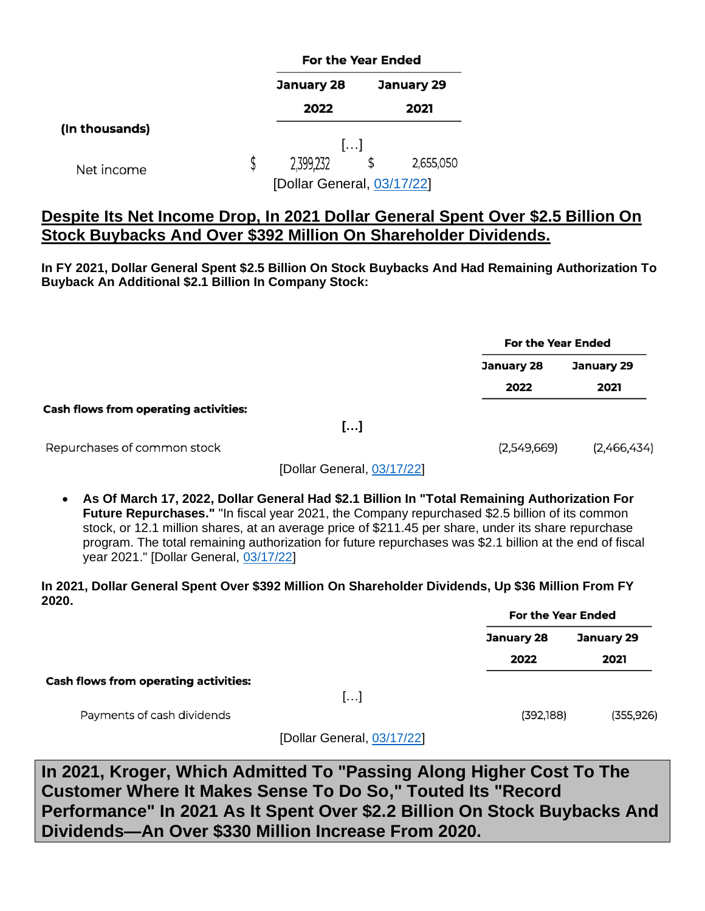|                            |  | <b>For the Year Ended</b> |  |            |  |
|----------------------------|--|---------------------------|--|------------|--|
|                            |  | January 28                |  | January 29 |  |
|                            |  | 2022                      |  | 2021       |  |
| (In thousands)             |  |                           |  |            |  |
|                            |  | $\left[\ldots\right]$     |  |            |  |
| Net income                 |  | 2,399,232                 |  | 2,655,050  |  |
| [Dollar General, 03/17/22] |  |                           |  |            |  |

# **Despite Its Net Income Drop, In 2021 Dollar General Spent Over \$2.5 Billion On Stock Buybacks And Over \$392 Million On Shareholder Dividends.**

**In FY 2021, Dollar General Spent \$2.5 Billion On Stock Buybacks And Had Remaining Authorization To Buyback An Additional \$2.1 Billion In Company Stock:**

|                                              |             | <b>For the Year Ended</b> |  |  |
|----------------------------------------------|-------------|---------------------------|--|--|
|                                              | January 28  | <b>January 29</b>         |  |  |
|                                              | 2022        | 2021                      |  |  |
| <b>Cash flows from operating activities:</b> |             |                           |  |  |
| []                                           |             |                           |  |  |
| Repurchases of common stock                  | (2,549,669) | (2,466,434)               |  |  |

[Dollar General, [03/17/22\]](https://investor.dollargeneral.com/websites/dollargeneral/English/2120/us-press-release.html?airportNewsID=833ee4cb-9391-4541-aca2-5764088d47ab)

• **As Of March 17, 2022, Dollar General Had \$2.1 Billion In "Total Remaining Authorization For Future Repurchases."** "In fiscal year 2021, the Company repurchased \$2.5 billion of its common stock, or 12.1 million shares, at an average price of \$211.45 per share, under its share repurchase program. The total remaining authorization for future repurchases was \$2.1 billion at the end of fiscal year 2021." [Dollar General, [03/17/22\]](https://investor.dollargeneral.com/websites/dollargeneral/English/2120/us-press-release.html?airportNewsID=833ee4cb-9391-4541-aca2-5764088d47ab)

**In 2021, Dollar General Spent Over \$392 Million On Shareholder Dividends, Up \$36 Million From FY 2020.**

|                                              |                            | <b>For the Year Ended</b> |            |  |
|----------------------------------------------|----------------------------|---------------------------|------------|--|
|                                              |                            | January 28                | January 29 |  |
|                                              |                            | 2022                      | 2021       |  |
| <b>Cash flows from operating activities:</b> |                            |                           |            |  |
|                                              | $\left[\ldots\right]$      |                           |            |  |
| Payments of cash dividends                   |                            | (392, 188)                | (355, 926) |  |
|                                              | [Dollar General, 03/17/22] |                           |            |  |

<span id="page-20-0"></span>**In 2021, Kroger, Which Admitted To "Passing Along Higher Cost To The Customer Where It Makes Sense To Do So," Touted Its "Record Performance" In 2021 As It Spent Over \$2.2 Billion On Stock Buybacks And Dividends—An Over \$330 Million Increase From 2020.**